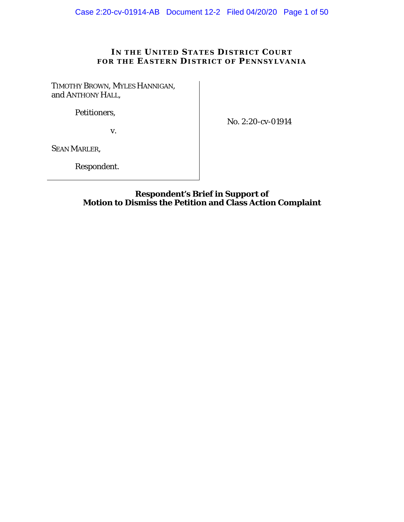# IN THE UNITED STATES DISTRICT COURT **FOR THE EASTERN DISTRICT OF PENNSYLVANIA**

TIMOTHY BROWN, MYLES HANNIGAN, and ANTHONY HALL,

Petitioners,

v.

No. 2:20-cv-01914

SEAN MARLER,

Respondent.

## **Respondent's Brief in Support of Motion to Dismiss the Petition and Class Action Complaint**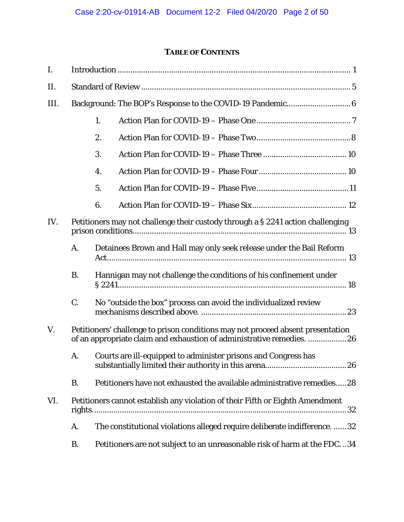# **TABLE OF CONTENTS**

| I.   |                                                                                                                                                           |                                                                      |                                                                            |  |  |
|------|-----------------------------------------------------------------------------------------------------------------------------------------------------------|----------------------------------------------------------------------|----------------------------------------------------------------------------|--|--|
| II.  |                                                                                                                                                           |                                                                      |                                                                            |  |  |
| III. |                                                                                                                                                           |                                                                      |                                                                            |  |  |
|      |                                                                                                                                                           | 1.                                                                   |                                                                            |  |  |
|      |                                                                                                                                                           | 2.                                                                   |                                                                            |  |  |
|      |                                                                                                                                                           | 3.                                                                   |                                                                            |  |  |
|      |                                                                                                                                                           | 4.                                                                   |                                                                            |  |  |
|      |                                                                                                                                                           | 5.                                                                   |                                                                            |  |  |
|      |                                                                                                                                                           | 6.                                                                   |                                                                            |  |  |
| IV.  | Petitioners may not challenge their custody through a § 2241 action challenging                                                                           |                                                                      |                                                                            |  |  |
|      | A.                                                                                                                                                        | Detainees Brown and Hall may only seek release under the Bail Reform |                                                                            |  |  |
|      | <b>B.</b>                                                                                                                                                 | Hannigan may not challenge the conditions of his confinement under   |                                                                            |  |  |
|      | C.                                                                                                                                                        |                                                                      | No "outside the box" process can avoid the individualized review           |  |  |
| V.   | Petitioners' challenge to prison conditions may not proceed absent presentation<br>of an appropriate claim and exhaustion of administrative remedies.  26 |                                                                      |                                                                            |  |  |
|      | A.                                                                                                                                                        |                                                                      | Courts are ill-equipped to administer prisons and Congress has             |  |  |
|      | <b>B.</b>                                                                                                                                                 |                                                                      | Petitioners have not exhausted the available administrative remedies28     |  |  |
| VI.  | Petitioners cannot establish any violation of their Fifth or Eighth Amendment<br>32                                                                       |                                                                      |                                                                            |  |  |
|      | A.                                                                                                                                                        |                                                                      | The constitutional violations alleged require deliberate indifference.  32 |  |  |
|      | <b>B.</b>                                                                                                                                                 |                                                                      | Petitioners are not subject to an unreasonable risk of harm at the FDC34   |  |  |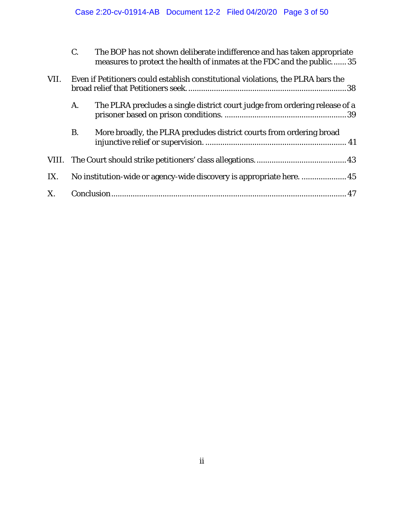|      | C.                                                                               | The BOP has not shown deliberate indifference and has taken appropriate<br>measures to protect the health of inmates at the FDC and the public 35 |  |  |
|------|----------------------------------------------------------------------------------|---------------------------------------------------------------------------------------------------------------------------------------------------|--|--|
| VII. | Even if Petitioners could establish constitutional violations, the PLRA bars the |                                                                                                                                                   |  |  |
|      | A.                                                                               | The PLRA precludes a single district court judge from ordering release of a                                                                       |  |  |
|      | <b>B.</b>                                                                        | More broadly, the PLRA precludes district courts from ordering broad                                                                              |  |  |
|      |                                                                                  |                                                                                                                                                   |  |  |
| IX.  |                                                                                  |                                                                                                                                                   |  |  |
| X.   |                                                                                  |                                                                                                                                                   |  |  |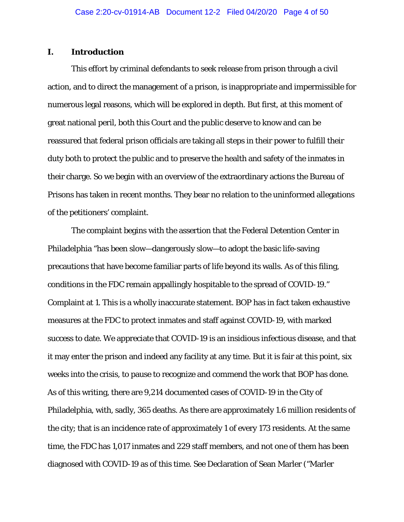## **I. Introduction**

This effort by criminal defendants to seek release from prison through a civil action, and to direct the management of a prison, is inappropriate and impermissible for numerous legal reasons, which will be explored in depth. But first, at this moment of great national peril, both this Court and the public deserve to know and can be reassured that federal prison officials are taking all steps in their power to fulfill their duty both to protect the public and to preserve the health and safety of the inmates in their charge. So we begin with an overview of the extraordinary actions the Bureau of Prisons has taken in recent months. They bear no relation to the uninformed allegations of the petitioners' complaint.

The complaint begins with the assertion that the Federal Detention Center in Philadelphia "has been slow—dangerously slow—to adopt the basic life-saving precautions that have become familiar parts of life beyond its walls. As of this filing, conditions in the FDC remain appallingly hospitable to the spread of COVID-19." Complaint at 1. This is a wholly inaccurate statement. BOP has in fact taken exhaustive measures at the FDC to protect inmates and staff against COVID-19, with marked success to date. We appreciate that COVID-19 is an insidious infectious disease, and that it may enter the prison and indeed any facility at any time. But it is fair at this point, six weeks into the crisis, to pause to recognize and commend the work that BOP has done. As of this writing, there are 9,214 documented cases of COVID-19 in the City of Philadelphia, with, sadly, 365 deaths. As there are approximately 1.6 million residents of the city; that is an incidence rate of approximately 1 of every 173 residents. At the same time, the FDC has 1,017 inmates and 229 staff members, and not one of them has been diagnosed with COVID-19 as of this time. *See* Declaration of Sean Marler ("Marler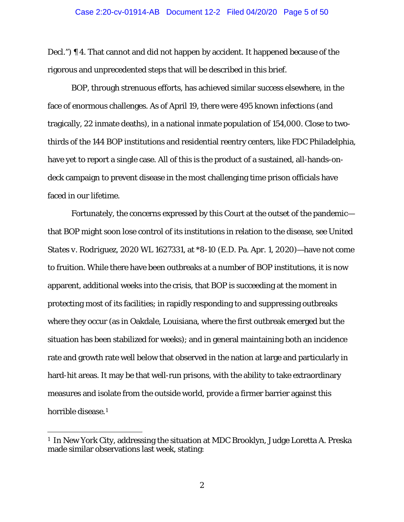Decl.") ¶ 4. That cannot and did not happen by accident. It happened because of the rigorous and unprecedented steps that will be described in this brief.

BOP, through strenuous efforts, has achieved similar success elsewhere, in the face of enormous challenges. As of April 19, there were 495 known infections (and tragically, 22 inmate deaths), in a national inmate population of 154,000. Close to twothirds of the 144 BOP institutions and residential reentry centers, like FDC Philadelphia, have yet to report a single case. All of this is the product of a sustained, all-hands-ondeck campaign to prevent disease in the most challenging time prison officials have faced in our lifetime.

Fortunately, the concerns expressed by this Court at the outset of the pandemic that BOP might soon lose control of its institutions in relation to the disease, *see United States v. Rodriguez*, 2020 WL 1627331, at \*8-10 (E.D. Pa. Apr. 1, 2020)—have not come to fruition. While there have been outbreaks at a number of BOP institutions, it is now apparent, additional weeks into the crisis, that BOP is succeeding at the moment in protecting most of its facilities; in rapidly responding to and suppressing outbreaks where they occur (as in Oakdale, Louisiana, where the first outbreak emerged but the situation has been stabilized for weeks); and in general maintaining both an incidence rate and growth rate well below that observed in the nation at large and particularly in hard-hit areas. It may be that well-run prisons, with the ability to take extraordinary measures and isolate from the outside world, provide a firmer barrier against this horrible disease.<sup>[1](#page-4-0)</sup>

<span id="page-4-0"></span><sup>&</sup>lt;sup>1</sup> In New York City, addressing the situation at MDC Brooklyn, Judge Loretta A. Preska made similar observations last week, stating: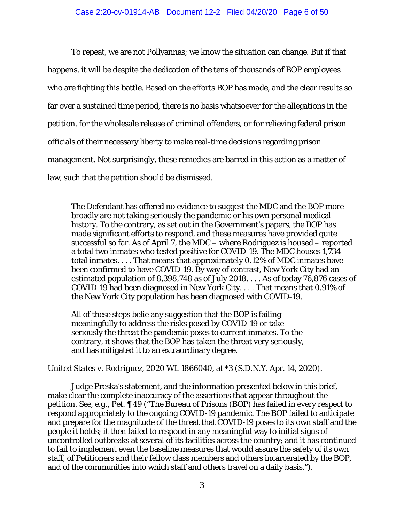To repeat, we are not Pollyannas; we know the situation can change. But if that happens, it will be despite the dedication of the tens of thousands of BOP employees who are fighting this battle. Based on the efforts BOP has made, and the clear results so far over a sustained time period, there is no basis whatsoever for the allegations in the petition, for the wholesale release of criminal offenders, or for relieving federal prison officials of their necessary liberty to make real-time decisions regarding prison management. Not surprisingly, these remedies are barred in this action as a matter of law, such that the petition should be dismissed.

All of these steps belie any suggestion that the BOP is failing meaningfully to address the risks posed by COVID-19 or take seriously the threat the pandemic poses to current inmates. To the contrary, it shows that the BOP has taken the threat very seriously, and has mitigated it to an extraordinary degree.

I

*United States v. Rodriguez*, 2020 WL 1866040, at \*3 (S.D.N.Y. Apr. 14, 2020).

Judge Preska's statement, and the information presented below in this brief, make clear the complete inaccuracy of the assertions that appear throughout the petition. *See, e.g.*, Pet. ¶ 49 ("The Bureau of Prisons (BOP) has failed in every respect to respond appropriately to the ongoing COVID-19 pandemic. The BOP failed to anticipate and prepare for the magnitude of the threat that COVID-19 poses to its own staff and the people it holds; it then failed to respond in any meaningful way to initial signs of uncontrolled outbreaks at several of its facilities across the country; and it has continued to fail to implement even the baseline measures that would assure the safety of its own staff, of Petitioners and their fellow class members and others incarcerated by the BOP, and of the communities into which staff and others travel on a daily basis.").

The Defendant has offered no evidence to suggest the MDC and the BOP more broadly are not taking seriously the pandemic or his own personal medical history. To the contrary, as set out in the Government's papers, the BOP has made significant efforts to respond, and these measures have provided quite successful so far. As of April 7, the MDC – where Rodriguez is housed – reported a total two inmates who tested positive for COVID-19. The MDC houses 1,734 total inmates. . . . That means that approximately 0.12% of MDC inmates have been confirmed to have COVID-19. By way of contrast, New York City had an estimated population of 8,398,748 as of July 2018. . . . As of today 76,876 cases of COVID-19 had been diagnosed in New York City. . . . That means that 0.91% of the New York City population has been diagnosed with COVID-19.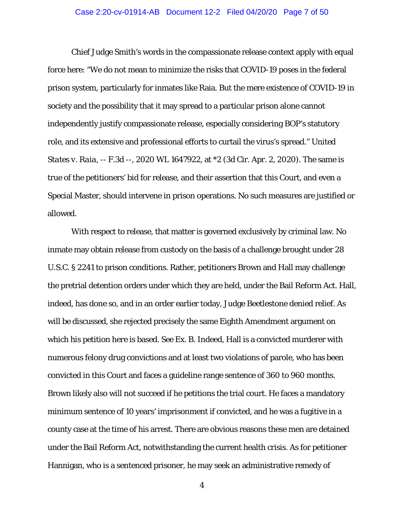#### Case 2:20-cv-01914-AB Document 12-2 Filed 04/20/20 Page 7 of 50

Chief Judge Smith's words in the compassionate release context apply with equal force here: "We do not mean to minimize the risks that COVID-19 poses in the federal prison system, particularly for inmates like Raia. But the mere existence of COVID-19 in society and the possibility that it may spread to a particular prison alone cannot independently justify compassionate release, especially considering BOP's statutory role, and its extensive and professional efforts to curtail the virus's spread." *United States v. Raia*, -- F.3d --, 2020 WL 1647922, at \*2 (3d Cir. Apr. 2, 2020). The same is true of the petitioners' bid for release, and their assertion that this Court, and even a Special Master, should intervene in prison operations. No such measures are justified or allowed.

With respect to release, that matter is governed exclusively by criminal law. No inmate may obtain release from custody on the basis of a challenge brought under 28 U.S.C. § 2241 to prison conditions. Rather, petitioners Brown and Hall may challenge the pretrial detention orders under which they are held, under the Bail Reform Act. Hall, indeed, has done so, and in an order earlier today, Judge Beetlestone denied relief. As will be discussed, she rejected precisely the same Eighth Amendment argument on which his petition here is based. *See* Ex. B. Indeed, Hall is a convicted murderer with numerous felony drug convictions and at least two violations of parole, who has been convicted in this Court and faces a guideline range sentence of 360 to 960 months. Brown likely also will not succeed if he petitions the trial court. He faces a mandatory minimum sentence of 10 years' imprisonment if convicted, and he was a fugitive in a county case at the time of his arrest. There are obvious reasons these men are detained under the Bail Reform Act, notwithstanding the current health crisis. As for petitioner Hannigan, who is a sentenced prisoner, he may seek an administrative remedy of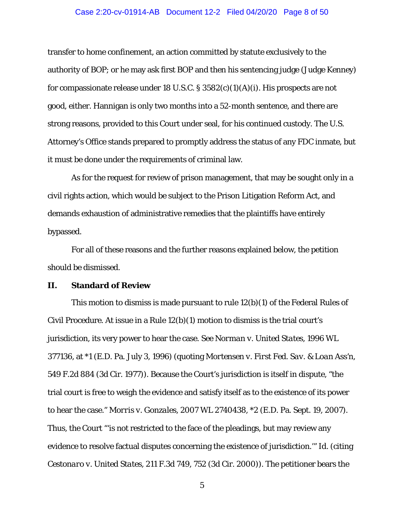#### Case 2:20-cv-01914-AB Document 12-2 Filed 04/20/20 Page 8 of 50

transfer to home confinement, an action committed by statute exclusively to the authority of BOP; or he may ask first BOP and then his sentencing judge (Judge Kenney) for compassionate release under 18 U.S.C.  $\S 3582(c)(1)(A)(i)$ . His prospects are not good, either. Hannigan is only two months into a 52-month sentence, and there are strong reasons, provided to this Court under seal, for his continued custody. The U.S. Attorney's Office stands prepared to promptly address the status of any FDC inmate, but it must be done under the requirements of criminal law.

As for the request for review of prison management, that may be sought only in a civil rights action, which would be subject to the Prison Litigation Reform Act, and demands exhaustion of administrative remedies that the plaintiffs have entirely bypassed.

For all of these reasons and the further reasons explained below, the petition should be dismissed.

### **II. Standard of Review**

This motion to dismiss is made pursuant to rule 12(b)(1) of the Federal Rules of Civil Procedure. At issue in a Rule 12(b)(1) motion to dismiss is the trial court's jurisdiction, its very power to hear the case. *See Norman v. United States*, 1996 WL 377136, at \*1 (E.D. Pa. July 3, 1996) (quoting *Mortensen v. First Fed. Sav. & Loan Ass'n*, 549 F.2d 884 (3d Cir. 1977)). Because the Court's jurisdiction is itself in dispute, "the trial court is free to weigh the evidence and satisfy itself as to the existence of its power to hear the case." *Morris v. Gonzales*, 2007 WL 2740438, \*2 (E.D. Pa. Sept. 19, 2007). Thus, the Court "'is not restricted to the face of the pleadings, but may review any evidence to resolve factual disputes concerning the existence of jurisdiction.'" *Id.* (citing *Cestonaro v. United States*, 211 F.3d 749, 752 (3d Cir. 2000)). The petitioner bears the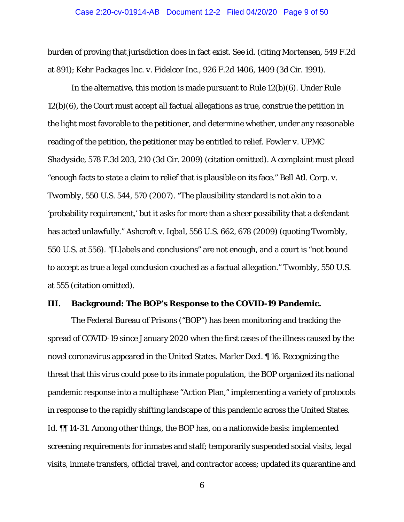#### Case 2:20-cv-01914-AB Document 12-2 Filed 04/20/20 Page 9 of 50

burden of proving that jurisdiction does in fact exist. *See id*. (citing *Mortensen*, 549 F.2d at 891); *Kehr Packages Inc. v. Fidelcor Inc*., 926 F.2d 1406, 1409 (3d Cir. 1991).

In the alternative, this motion is made pursuant to Rule 12(b)(6). Under Rule 12(b)(6), the Court must accept all factual allegations as true, construe the petition in the light most favorable to the petitioner, and determine whether, under any reasonable reading of the petition, the petitioner may be entitled to relief. *Fowler v. UPMC Shadyside*, 578 F.3d 203, 210 (3d Cir. 2009) (citation omitted). A complaint must plead "enough facts to state a claim to relief that is plausible on its face." *Bell Atl. Corp. v. Twombly*, 550 U.S. 544, 570 (2007). "The plausibility standard is not akin to a 'probability requirement,' but it asks for more than a sheer possibility that a defendant has acted unlawfully." *Ashcroft v. Iqbal*, 556 U.S. 662, 678 (2009) (quoting *Twombly*, 550 U.S. at 556). "[L]abels and conclusions" are not enough, and a court is "not bound to accept as true a legal conclusion couched as a factual allegation." *Twombly*, 550 U.S. at 555 (citation omitted).

# **III. Background: The BOP's Response to the COVID-19 Pandemic.**

The Federal Bureau of Prisons ("BOP") has been monitoring and tracking the spread of COVID-19 since January 2020 when the first cases of the illness caused by the novel coronavirus appeared in the United States. Marler Decl. ¶ 16. Recognizing the threat that this virus could pose to its inmate population, the BOP organized its national pandemic response into a multiphase "Action Plan," implementing a variety of protocols in response to the rapidly shifting landscape of this pandemic across the United States. *Id.* II 14-31. Among other things, the BOP has, on a nationwide basis: implemented screening requirements for inmates and staff; temporarily suspended social visits, legal visits, inmate transfers, official travel, and contractor access; updated its quarantine and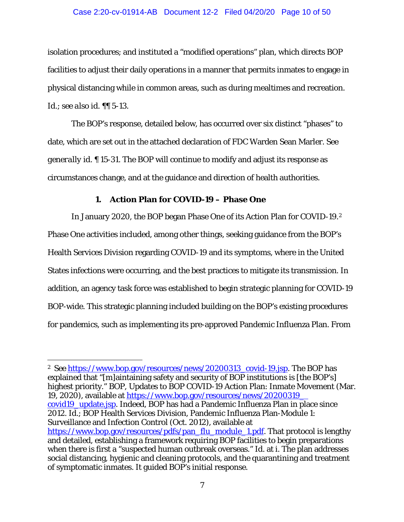#### Case 2:20-cv-01914-AB Document 12-2 Filed 04/20/20 Page 10 of 50

isolation procedures; and instituted a "modified operations" plan, which directs BOP facilities to adjust their daily operations in a manner that permits inmates to engage in physical distancing while in common areas, such as during mealtimes and recreation. *Id.*; *see also id.* ¶¶ 5-13.

The BOP's response, detailed below, has occurred over six distinct "phases" to date, which are set out in the attached declaration of FDC Warden Sean Marler. *See generally id.* ¶ 15-31. The BOP will continue to modify and adjust its response as circumstances change, and at the guidance and direction of health authorities.

### **1. Action Plan for COVID-19 – Phase One**

In January 2020, the BOP began Phase One of its Action Plan for COVID-19.[2](#page-9-0) Phase One activities included, among other things, seeking guidance from the BOP's Health Services Division regarding COVID-19 and its symptoms, where in the United States infections were occurring, and the best practices to mitigate its transmission. In addition, an agency task force was established to begin strategic planning for COVID-19 BOP-wide. This strategic planning included building on the BOP's existing procedures for pandemics, such as implementing its pre-approved Pandemic Influenza Plan. From

<span id="page-9-0"></span><sup>&</sup>lt;sup>2</sup> *See* https://www.bop.gov/resources/news/20200313 covid-19.jsp. The BOP has explained that "[m]aintaining safety and security of BOP institutions is [the BOP's] highest priority." BOP, Updates to BOP COVID-19 Action Plan: Inmate Movement (Mar. 19, 2020), available at [https://www.bop.gov/resources/news/20200319\\_](https://www.bop.gov/resources/news/20200319_%20covid19_update.jsp) [covid19\\_update.jsp.](https://www.bop.gov/resources/news/20200319_%20covid19_update.jsp) Indeed, BOP has had a Pandemic Influenza Plan in place since 2012. *Id*.; BOP Health Services Division, Pandemic Influenza Plan-Module 1: Surveillance and Infection Control (Oct. 2012), available at [https://www.bop.gov/resources/pdfs/pan\\_flu\\_module\\_1.pdf.](https://www.bop.gov/resources/pdfs/pan_flu_module_1.pdf) That protocol is lengthy and detailed, establishing a framework requiring BOP facilities to begin preparations when there is first a "suspected human outbreak overseas." *Id*. at i. The plan addresses social distancing, hygienic and cleaning protocols, and the quarantining and treatment of symptomatic inmates. It guided BOP's initial response.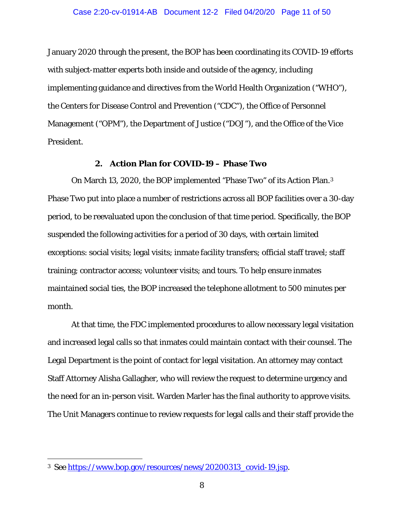January 2020 through the present, the BOP has been coordinating its COVID-19 efforts with subject-matter experts both inside and outside of the agency, including implementing guidance and directives from the World Health Organization ("WHO"), the Centers for Disease Control and Prevention ("CDC"), the Office of Personnel Management ("OPM"), the Department of Justice ("DOJ"), and the Office of the Vice President.

### **2. Action Plan for COVID-19 – Phase Two**

On March 13, 2020, the BOP implemented "Phase Two" of its Action Plan.[3](#page-10-0) Phase Two put into place a number of restrictions across all BOP facilities over a 30-day period, to be reevaluated upon the conclusion of that time period. Specifically, the BOP suspended the following activities for a period of 30 days, with certain limited exceptions: social visits; legal visits; inmate facility transfers; official staff travel; staff training; contractor access; volunteer visits; and tours. To help ensure inmates maintained social ties, the BOP increased the telephone allotment to 500 minutes per month.

At that time, the FDC implemented procedures to allow necessary legal visitation and increased legal calls so that inmates could maintain contact with their counsel. The Legal Department is the point of contact for legal visitation. An attorney may contact Staff Attorney Alisha Gallagher, who will review the request to determine urgency and the need for an in-person visit. Warden Marler has the final authority to approve visits. The Unit Managers continue to review requests for legal calls and their staff provide the

<span id="page-10-0"></span> <sup>3</sup> *See* [https://www.bop.gov/resources/news/20200313\\_covid-19.jsp.](https://www.bop.gov/resources/news/20200313_covid-19.jsp)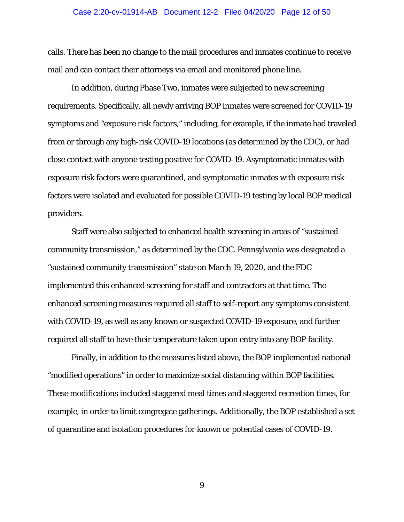#### Case 2:20-cv-01914-AB Document 12-2 Filed 04/20/20 Page 12 of 50

calls. There has been no change to the mail procedures and inmates continue to receive mail and can contact their attorneys via email and monitored phone line.

In addition, during Phase Two, inmates were subjected to new screening requirements. Specifically, all newly arriving BOP inmates were screened for COVID-19 symptoms and "exposure risk factors," including, for example, if the inmate had traveled from or through any high-risk COVID-19 locations (as determined by the CDC), or had close contact with anyone testing positive for COVID-19. Asymptomatic inmates with exposure risk factors were quarantined, and symptomatic inmates with exposure risk factors were isolated and evaluated for possible COVID-19 testing by local BOP medical providers.

Staff were also subjected to enhanced health screening in areas of "sustained community transmission," as determined by the CDC. Pennsylvania was designated a "sustained community transmission" state on March 19, 2020, and the FDC implemented this enhanced screening for staff and contractors at that time. The enhanced screening measures required all staff to self-report any symptoms consistent with COVID-19, as well as any known or suspected COVID-19 exposure*,* and further required all staff to have their temperature taken upon entry into any BOP facility.

Finally, in addition to the measures listed above, the BOP implemented national "modified operations" in order to maximize social distancing within BOP facilities. These modifications included staggered meal times and staggered recreation times, for example, in order to limit congregate gatherings. Additionally, the BOP established a set of quarantine and isolation procedures for known or potential cases of COVID-19.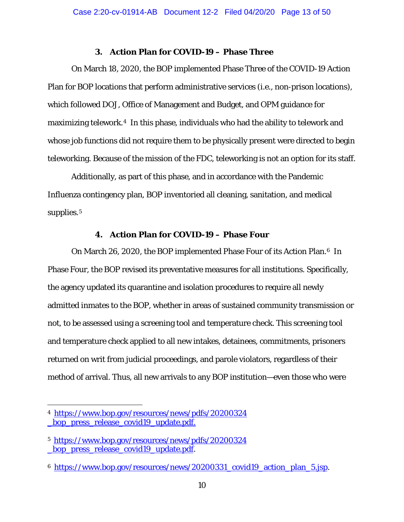### **3. Action Plan for COVID-19 – Phase Three**

On March 18, 2020, the BOP implemented Phase Three of the COVID-19 Action Plan for BOP locations that perform administrative services (*i.e.*, non-prison locations), which followed DOJ, Office of Management and Budget, and OPM guidance for maximizing telework.[4](#page-12-0) In this phase, individuals who had the ability to telework and whose job functions did not require them to be physically present were directed to begin teleworking. Because of the mission of the FDC, teleworking is not an option for its staff.

Additionally, as part of this phase, and in accordance with the Pandemic Influenza contingency plan, BOP inventoried all cleaning, sanitation, and medical supplies.<sup>[5](#page-12-1)</sup>

### **4. Action Plan for COVID-19 – Phase Four**

On March 2[6](#page-12-2), 2020, the BOP implemented Phase Four of its Action Plan.<sup>6</sup> In Phase Four, the BOP revised its preventative measures for all institutions. Specifically, the agency updated its quarantine and isolation procedures to require all newly admitted inmates to the BOP, whether in areas of sustained community transmission or not, to be assessed using a screening tool and temperature check. This screening tool and temperature check applied to all new intakes, detainees, commitments, prisoners returned on writ from judicial proceedings, and parole violators, regardless of their method of arrival. Thus, all new arrivals to any BOP institution—even those who were

<span id="page-12-0"></span> <sup>4</sup> [https://www.bop.gov/resources/news/pdfs/20200324](https://www.bop.gov/resources/news/pdfs/20200324_bop_press_release_covid19_update.pdf) bop press release covid19 update.pdf.

<span id="page-12-1"></span><sup>5</sup> [https://www.bop.gov/resources/news/pdfs/20200324](https://www.bop.gov/resources/news/pdfs/20200324_bop_press_release_covid19_update.pdf) bop press release covid19 update.pdf.

<span id="page-12-2"></span><sup>6</sup> https://www.bop.gov/resources/news/20200331 covid19 action plan 5.jsp.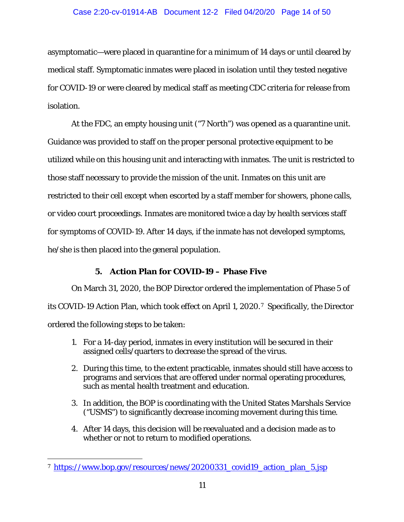### Case 2:20-cv-01914-AB Document 12-2 Filed 04/20/20 Page 14 of 50

asymptomatic—were placed in quarantine for a minimum of 14 days or until cleared by medical staff. Symptomatic inmates were placed in isolation until they tested negative for COVID-19 or were cleared by medical staff as meeting CDC criteria for release from isolation.

At the FDC, an empty housing unit ("7 North") was opened as a quarantine unit. Guidance was provided to staff on the proper personal protective equipment to be utilized while on this housing unit and interacting with inmates. The unit is restricted to those staff necessary to provide the mission of the unit. Inmates on this unit are restricted to their cell except when escorted by a staff member for showers, phone calls, or video court proceedings. Inmates are monitored twice a day by health services staff for symptoms of COVID-19. After 14 days, if the inmate has not developed symptoms, he/she is then placed into the general population.

## **5. Action Plan for COVID-19 – Phase Five**

On March 31, 2020, the BOP Director ordered the implementation of Phase 5 of its COVID-19 Action Plan, which took effect on April 1, 2020.[7](#page-13-0) Specifically, the Director ordered the following steps to be taken:

- 1. For a 14-day period, inmates in every institution will be secured in their assigned cells/quarters to decrease the spread of the virus.
- 2. During this time, to the extent practicable, inmates should still have access to programs and services that are offered under normal operating procedures, such as mental health treatment and education.
- 3. In addition, the BOP is coordinating with the United States Marshals Service ("USMS") to significantly decrease incoming movement during this time.
- 4. After 14 days, this decision will be reevaluated and a decision made as to whether or not to return to modified operations.

<span id="page-13-0"></span><sup>&</sup>lt;sup>7</sup> [https://www.bop.gov/resources/news/20200331\\_covid19\\_action\\_plan\\_5.jsp](https://www.bop.gov/resources/news/20200331_covid19_action_plan_5.jsp)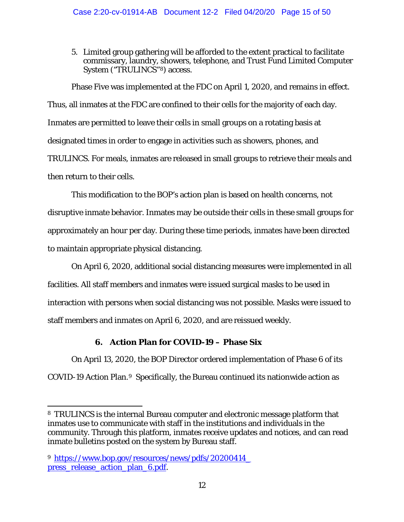5. Limited group gathering will be afforded to the extent practical to facilitate commissary, laundry, showers, telephone, and Trust Fund Limited Computer System ("TRULINCS"[8](#page-14-0)) access.

Phase Five was implemented at the FDC on April 1, 2020, and remains in effect. Thus, all inmates at the FDC are confined to their cells for the majority of each day. Inmates are permitted to leave their cells in small groups on a rotating basis at designated times in order to engage in activities such as showers, phones, and TRULINCS. For meals, inmates are released in small groups to retrieve their meals and then return to their cells.

This modification to the BOP's action plan is based on health concerns, not disruptive inmate behavior. Inmates may be outside their cells in these small groups for approximately an hour per day. During these time periods, inmates have been directed to maintain appropriate physical distancing.

On April 6, 2020, additional social distancing measures were implemented in all facilities. All staff members and inmates were issued surgical masks to be used in interaction with persons when social distancing was not possible. Masks were issued to staff members and inmates on April 6, 2020, and are reissued weekly.

# **6. Action Plan for COVID-19 – Phase Six**

On April 13, 2020, the BOP Director ordered implementation of Phase 6 of its COVID-19 Action Plan.[9](#page-14-1) Specifically, the Bureau continued its nationwide action as

<span id="page-14-0"></span> <sup>8</sup> TRULINCS is the internal Bureau computer and electronic message platform that inmates use to communicate with staff in the institutions and individuals in the community. Through this platform, inmates receive updates and notices, and can read inmate bulletins posted on the system by Bureau staff.

<span id="page-14-1"></span><sup>9</sup> [https://www.bop.gov/resources/news/pdfs/20200414\\_](https://www.bop.gov/resources/news/pdfs/20200414_press_release_action_plan_6.pdf) [press\\_release\\_action\\_plan\\_6.pdf.](https://www.bop.gov/resources/news/pdfs/20200414_press_release_action_plan_6.pdf)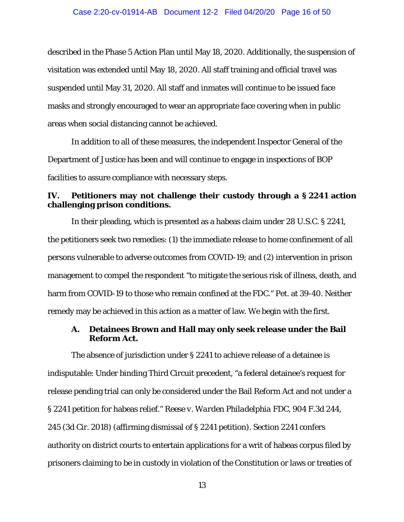described in the Phase 5 Action Plan until May 18, 2020. Additionally, the suspension of visitation was extended until May 18, 2020. All staff training and official travel was suspended until May 31, 2020. All staff and inmates will continue to be issued face masks and strongly encouraged to wear an appropriate face covering when in public areas when social distancing cannot be achieved.

In addition to all of these measures, the independent Inspector General of the Department of Justice has been and will continue to engage in inspections of BOP facilities to assure compliance with necessary steps.

## **IV. Petitioners may not challenge their custody through a § 2241 action challenging prison conditions.**

In their pleading, which is presented as a habeas claim under 28 U.S.C. § 2241, the petitioners seek two remedies: (1) the immediate release to home confinement of all persons vulnerable to adverse outcomes from COVID-19; and (2) intervention in prison management to compel the respondent "to mitigate the serious risk of illness, death, and harm from COVID-19 to those who remain confined at the FDC." Pet. at 39-40. Neither remedy may be achieved in this action as a matter of law. We begin with the first.

### **A. Detainees Brown and Hall may only seek release under the Bail Reform Act.**

The absence of jurisdiction under § 2241 to achieve release of a detainee is indisputable: Under binding Third Circuit precedent, "a federal detainee's request for release pending trial can only be considered under the Bail Reform Act and not under a § 2241 petition for habeas relief." *Reese v. Warden Philadelphia FDC*, 904 F.3d 244, 245 (3d Cir. 2018) (affirming dismissal of § 2241 petition). Section 2241 confers authority on district courts to entertain applications for a writ of habeas corpus filed by prisoners claiming to be in custody in violation of the Constitution or laws or treaties of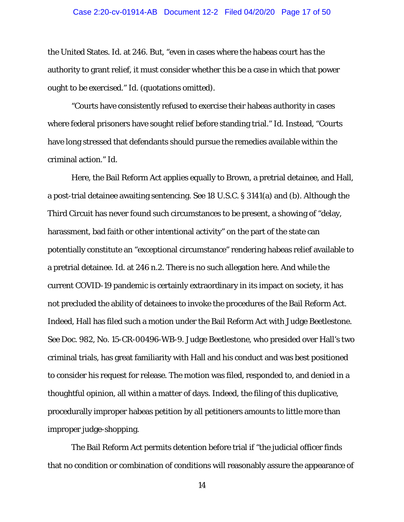#### Case 2:20-cv-01914-AB Document 12-2 Filed 04/20/20 Page 17 of 50

the United States. *Id.* at 246. But, "even in cases where the habeas court has the authority to grant relief, it must consider whether this be a case in which that power ought to be exercised." *Id.* (quotations omitted).

"Courts have consistently refused to exercise their habeas authority in cases where federal prisoners have sought relief before standing trial." *Id.* Instead, "Courts have long stressed that defendants should pursue the remedies available within the criminal action." *Id.*

Here, the Bail Reform Act applies equally to Brown, a pretrial detainee, and Hall, a post-trial detainee awaiting sentencing. *See* 18 U.S.C. § 3141(a) and (b). Although the Third Circuit has never found such circumstances to be present, a showing of "delay, harassment, bad faith or other intentional activity" on the part of the state can potentially constitute an "exceptional circumstance" rendering habeas relief available to a pretrial detainee. *Id.* at 246 n.2. There is no such allegation here. And while the current COVID-19 pandemic is certainly extraordinary in its impact on society, it has not precluded the ability of detainees to invoke the procedures of the Bail Reform Act. Indeed, Hall has filed such a motion under the Bail Reform Act with Judge Beetlestone. *See* Doc. 982, No. 15-CR-00496-WB-9. Judge Beetlestone, who presided over Hall's two criminal trials, has great familiarity with Hall and his conduct and was best positioned to consider his request for release. The motion was filed, responded to, and denied in a thoughtful opinion, all within a matter of days. Indeed, the filing of this duplicative, procedurally improper habeas petition by all petitioners amounts to little more than improper judge-shopping.

The Bail Reform Act permits detention before trial if "the judicial officer finds that no condition or combination of conditions will reasonably assure the appearance of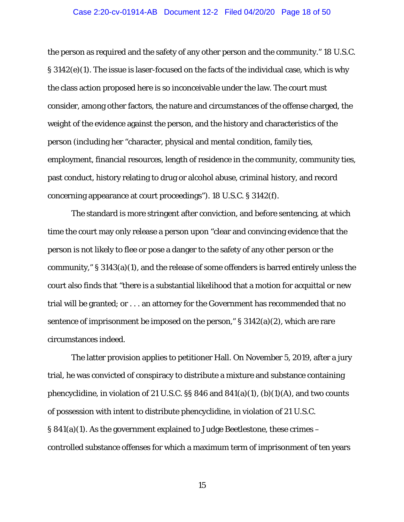#### Case 2:20-cv-01914-AB Document 12-2 Filed 04/20/20 Page 18 of 50

the person as required and the safety of any other person and the community." 18 U.S.C. § 3142(e)(1). The issue is laser-focused on the facts of the individual case, which is why the class action proposed here is so inconceivable under the law. The court must consider, among other factors, the nature and circumstances of the offense charged, the weight of the evidence against the person, and the history and characteristics of the person (including her "character, physical and mental condition, family ties, employment, financial resources, length of residence in the community, community ties, past conduct, history relating to drug or alcohol abuse, criminal history, and record concerning appearance at court proceedings"). 18 U.S.C. § 3142(f).

The standard is more stringent after conviction, and before sentencing, at which time the court may only release a person upon "clear and convincing evidence that the person is not likely to flee or pose a danger to the safety of any other person or the community," § 3143(a)(1), and the release of some offenders is barred entirely unless the court also finds that "there is a substantial likelihood that a motion for acquittal or new trial will be granted; or . . . an attorney for the Government has recommended that no sentence of imprisonment be imposed on the person,"  $\S 3142(a)(2)$ , which are rare circumstances indeed.

The latter provision applies to petitioner Hall. On November 5, 2019, after a jury trial, he was convicted of conspiracy to distribute a mixture and substance containing phencyclidine, in violation of 21 U.S.C.  $\S$  846 and 841(a)(1), (b)(1)(A), and two counts of possession with intent to distribute phencyclidine, in violation of 21 U.S.C. § 841(a)(1). As the government explained to Judge Beetlestone, these crimes – controlled substance offenses for which a maximum term of imprisonment of ten years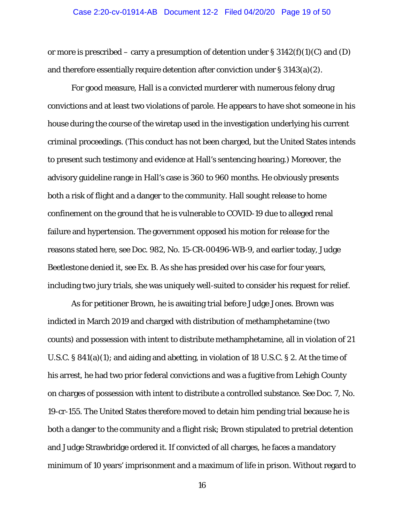#### Case 2:20-cv-01914-AB Document 12-2 Filed 04/20/20 Page 19 of 50

or more is prescribed – carry a presumption of detention under  $\S 3142(f)(1)(C)$  and (D) and therefore essentially require detention after conviction under § 3143(a)(2).

For good measure, Hall is a convicted murderer with numerous felony drug convictions and at least two violations of parole. He appears to have shot someone in his house during the course of the wiretap used in the investigation underlying his current criminal proceedings. (This conduct has not been charged, but the United States intends to present such testimony and evidence at Hall's sentencing hearing.) Moreover, the advisory guideline range in Hall's case is 360 to 960 months. He obviously presents both a risk of flight and a danger to the community. Hall sought release to home confinement on the ground that he is vulnerable to COVID-19 due to alleged renal failure and hypertension. The government opposed his motion for release for the reasons stated here, *see* Doc. 982, No. 15-CR-00496-WB-9, and earlier today, Judge Beetlestone denied it, *see* Ex. B. As she has presided over his case for four years, including two jury trials, she was uniquely well-suited to consider his request for relief.

As for petitioner Brown, he is awaiting trial before Judge Jones. Brown was indicted in March 2019 and charged with distribution of methamphetamine (two counts) and possession with intent to distribute methamphetamine, all in violation of 21 U.S.C. § 841(a)(1); and aiding and abetting, in violation of 18 U.S.C. § 2. At the time of his arrest, he had two prior federal convictions and was a fugitive from Lehigh County on charges of possession with intent to distribute a controlled substance. *See* Doc. 7, No. 19-cr-155. The United States therefore moved to detain him pending trial because he is both a danger to the community and a flight risk; Brown stipulated to pretrial detention and Judge Strawbridge ordered it. If convicted of all charges, he faces a mandatory minimum of 10 years' imprisonment and a maximum of life in prison. Without regard to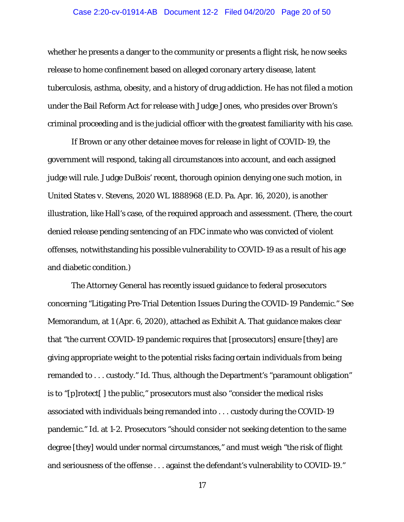#### Case 2:20-cv-01914-AB Document 12-2 Filed 04/20/20 Page 20 of 50

whether he presents a danger to the community or presents a flight risk, he now seeks release to home confinement based on alleged coronary artery disease, latent tuberculosis, asthma, obesity, and a history of drug addiction. He has not filed a motion under the Bail Reform Act for release with Judge Jones, who presides over Brown's criminal proceeding and is the judicial officer with the greatest familiarity with his case.

If Brown or any other detainee moves for release in light of COVID-19, the government will respond, taking all circumstances into account, and each assigned judge will rule. Judge DuBois' recent, thorough opinion denying one such motion, in *United States v. Stevens*, 2020 WL 1888968 (E.D. Pa. Apr. 16, 2020), is another illustration, like Hall's case, of the required approach and assessment. (There, the court denied release pending sentencing of an FDC inmate who was convicted of violent offenses, notwithstanding his possible vulnerability to COVID-19 as a result of his age and diabetic condition.)

The Attorney General has recently issued guidance to federal prosecutors concerning "Litigating Pre-Trial Detention Issues During the COVID-19 Pandemic." *See*  Memorandum, at 1 (Apr. 6, 2020), attached as Exhibit A. That guidance makes clear that "the current COVID-19 pandemic requires that [prosecutors] ensure [they] are giving appropriate weight to the potential risks facing certain individuals from being remanded to . . . custody." *Id.* Thus, although the Department's "paramount obligation" is to "[p]rotect[ ] the public," prosecutors must also "consider the medical risks associated with individuals being remanded into . . . custody during the COVID-19 pandemic." *Id.* at 1-2. Prosecutors "should consider not seeking detention to the same degree [they] would under normal circumstances," and must weigh "the risk of flight and seriousness of the offense . . . against the defendant's vulnerability to COVID-19."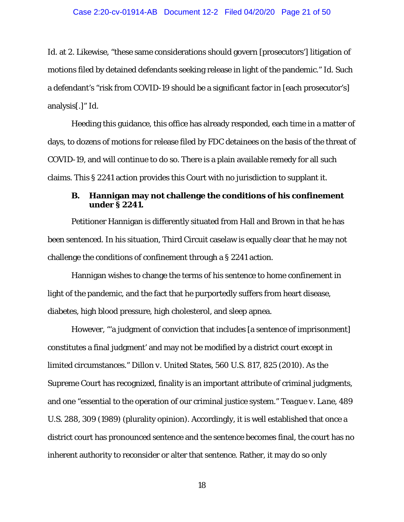*Id.* at 2. Likewise, "these same considerations should govern [prosecutors'] litigation of motions filed by detained defendants seeking release in light of the pandemic." *Id.* Such a defendant's "risk from COVID-19 should be a significant factor in [each prosecutor's] analysis[.]" *Id.*

Heeding this guidance, this office has already responded, each time in a matter of days, to dozens of motions for release filed by FDC detainees on the basis of the threat of COVID-19, and will continue to do so. There is a plain available remedy for all such claims. This § 2241 action provides this Court with no jurisdiction to supplant it.

### **B. Hannigan may not challenge the conditions of his confinement under § 2241.**

Petitioner Hannigan is differently situated from Hall and Brown in that he has been sentenced. In his situation, Third Circuit caselaw is equally clear that he may not challenge the conditions of confinement through a § 2241 action.

Hannigan wishes to change the terms of his sentence to home confinement in light of the pandemic, and the fact that he purportedly suffers from heart disease, diabetes, high blood pressure, high cholesterol, and sleep apnea.

However, "'a judgment of conviction that includes [a sentence of imprisonment] constitutes a final judgment' and may not be modified by a district court except in limited circumstances." *Dillon v. United States*, 560 U.S. 817, 825 (2010). As the Supreme Court has recognized, finality is an important attribute of criminal judgments, and one "essential to the operation of our criminal justice system." *Teague v. Lane*, 489 U.S. 288, 309 (1989) (plurality opinion). Accordingly, it is well established that once a district court has pronounced sentence and the sentence becomes final, the court has no inherent authority to reconsider or alter that sentence. Rather, it may do so only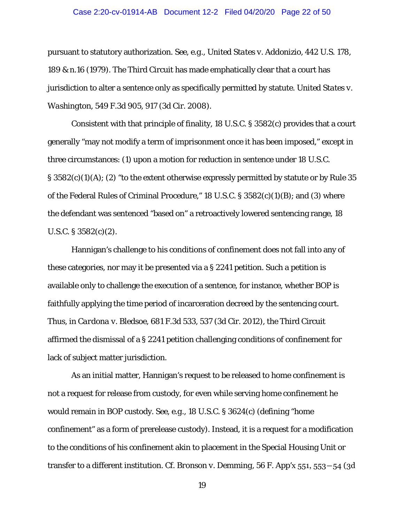#### Case 2:20-cv-01914-AB Document 12-2 Filed 04/20/20 Page 22 of 50

pursuant to statutory authorization. *See, e.g.*, *United States v. Addonizio*, 442 U.S. 178, 189 & n.16 (1979). The Third Circuit has made emphatically clear that a court has jurisdiction to alter a sentence only as specifically permitted by statute. *United States v. Washington*, 549 F.3d 905, 917 (3d Cir. 2008).

Consistent with that principle of finality, 18 U.S.C. § 3582(c) provides that a court generally "may not modify a term of imprisonment once it has been imposed," except in three circumstances: (1) upon a motion for reduction in sentence under 18 U.S.C.  $\S 3582(c)(1)(A); (2)$  "to the extent otherwise expressly permitted by statute or by Rule 35 of the Federal Rules of Criminal Procedure," 18 U.S.C. § 3582(c)(1)(B); and (3) where the defendant was sentenced "based on" a retroactively lowered sentencing range, 18 U.S.C.  $\S 3582(c)(2)$ .

Hannigan's challenge to his conditions of confinement does not fall into any of these categories, nor may it be presented via a § 2241 petition. Such a petition is available only to challenge the execution of a sentence, for instance, whether BOP is faithfully applying the time period of incarceration decreed by the sentencing court. Thus, in *Cardona v. Bledsoe*, 681 F.3d 533, 537 (3d Cir. 2012), the Third Circuit affirmed the dismissal of a § 2241 petition challenging conditions of confinement for lack of subject matter jurisdiction.

As an initial matter, Hannigan's request to be released to home confinement is not a request for release from custody, for even while serving home confinement he would remain in BOP custody. *See, e.g.,* 18 U.S.C. § 3624(c) (defining "home confinement" as a form of prerelease custody). Instead, it is a request for a modification to the conditions of his confinement akin to placement in the Special Housing Unit or transfer to a different institution. *Cf. Bronson v. Demming,* 56 F. App'x 551, 553―54 (3d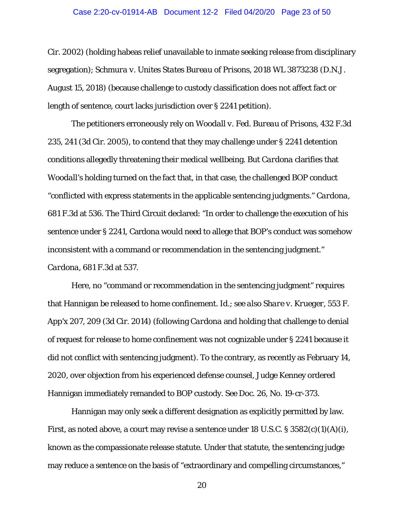#### Case 2:20-cv-01914-AB Document 12-2 Filed 04/20/20 Page 23 of 50

Cir. 2002) (holding habeas relief unavailable to inmate seeking release from disciplinary segregation); *Schmura v. Unites States Bureau of Prisons,* 2018 WL 3873238 (D.N.J. August 15, 2018) (because challenge to custody classification does not affect fact or length of sentence, court lacks jurisdiction over § 2241 petition).

The petitioners erroneously rely on *Woodall v. Fed. Bureau of Prisons*, 432 F.3d 235, 241 (3d Cir. 2005), to contend that they may challenge under § 2241 detention conditions allegedly threatening their medical wellbeing. But *Cardona* clarifies that *Woodall*'s holding turned on the fact that, in that case, the challenged BOP conduct "conflicted with express statements in the applicable sentencing judgments." *Cardona*, 681 F.3d at 536. The Third Circuit declared: "In order to challenge the execution of his sentence under § 2241, Cardona would need to allege that BOP's conduct was somehow inconsistent with a command or recommendation in the sentencing judgment." *Cardona*, 681 F.3d at 537.

Here, no "command or recommendation in the sentencing judgment" requires that Hannigan be released to home confinement. *Id.*; *see also Share v. Krueger*, 553 F. App'x 207, 209 (3d Cir. 2014) (following *Cardona* and holding that challenge to denial of request for release to home confinement was not cognizable under § 2241 because it did not conflict with sentencing judgment). To the contrary, as recently as February 14, 2020, over objection from his experienced defense counsel, Judge Kenney ordered Hannigan immediately remanded to BOP custody. *See* Doc. 26, No. 19-cr-373.

Hannigan may only seek a different designation as explicitly permitted by law. First, as noted above, a court may revise a sentence under 18 U.S.C. § 3582(c)(1)(A)(i), known as the compassionate release statute. Under that statute, the sentencing judge may reduce a sentence on the basis of "extraordinary and compelling circumstances,"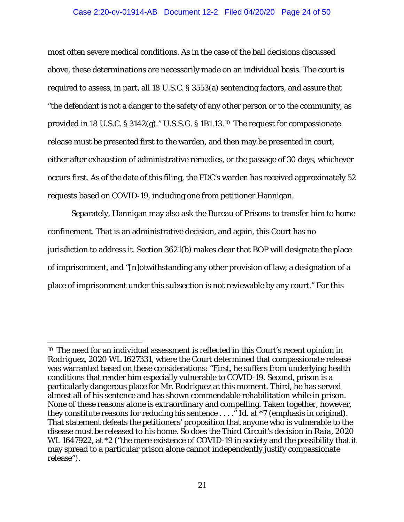#### Case 2:20-cv-01914-AB Document 12-2 Filed 04/20/20 Page 24 of 50

most often severe medical conditions. As in the case of the bail decisions discussed above, these determinations are necessarily made on an individual basis. The court is required to assess, in part, all 18 U.S.C. § 3553(a) sentencing factors, and assure that "the defendant is not a danger to the safety of any other person or to the community, as provided in 18 U.S.C. § 3142(g)." U.S.S.G. § 1B1.13.[10](#page-23-0) The request for compassionate release must be presented first to the warden, and then may be presented in court, either after exhaustion of administrative remedies, or the passage of 30 days, whichever occurs first. As of the date of this filing, the FDC's warden has received approximately 52 requests based on COVID-19, including one from petitioner Hannigan.

Separately, Hannigan may also ask the Bureau of Prisons to transfer him to home confinement. That is an administrative decision, and again, this Court has no jurisdiction to address it. Section 3621(b) makes clear that BOP will designate the place of imprisonment, and "[n]otwithstanding any other provision of law, a designation of a place of imprisonment under this subsection is not reviewable by any court." For this

<span id="page-23-0"></span> <sup>10</sup> The need for an individual assessment is reflected in this Court's recent opinion in *Rodriguez*, 2020 WL 1627331, where the Court determined that compassionate release was warranted based on these considerations: "First, he suffers from underlying health conditions that render him especially vulnerable to COVID-19. Second, prison is a particularly dangerous place for Mr. Rodriguez at this moment. Third, he has served almost all of his sentence and has shown commendable rehabilitation while in prison. None of these reasons *alone* is extraordinary and compelling. Taken together, however, they constitute reasons for reducing his sentence . . . ." *Id.* at \*7 (emphasis in original). That statement defeats the petitioners' proposition that anyone who is vulnerable to the disease must be released to his home. So does the Third Circuit's decision in *Raia*, 2020 WL 1647922, at  $*2$  ("the mere existence of COVID-19 in society and the possibility that it may spread to a particular prison alone cannot independently justify compassionate release").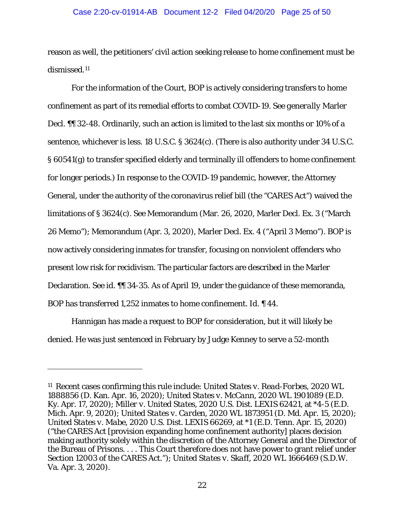#### Case 2:20-cv-01914-AB Document 12-2 Filed 04/20/20 Page 25 of 50

reason as well, the petitioners' civil action seeking release to home confinement must be dismissed.[11](#page-24-0)

For the information of the Court, BOP is actively considering transfers to home confinement as part of its remedial efforts to combat COVID-19. *See generally* Marler Decl. ¶¶ 32-48. Ordinarily, such an action is limited to the last six months or 10% of a sentence, whichever is less. 18 U.S.C. § 3624(c). (There is also authority under 34 U.S.C. § 60541(g) to transfer specified elderly and terminally ill offenders to home confinement for longer periods.) In response to the COVID-19 pandemic, however, the Attorney General, under the authority of the coronavirus relief bill (the "CARES Act") waived the limitations of § 3624(c). *See* Memorandum (Mar. 26, 2020, Marler Decl. Ex. 3 ("March 26 Memo"); Memorandum (Apr. 3, 2020), Marler Decl. Ex. 4 ("April 3 Memo"). BOP is now actively considering inmates for transfer, focusing on nonviolent offenders who present low risk for recidivism. The particular factors are described in the Marler Declaration. *See id.* ¶¶ 34-35. As of April 19, under the guidance of these memoranda, BOP has transferred 1,252 inmates to home confinement. *Id.* ¶ 44.

Hannigan has made a request to BOP for consideration, but it will likely be denied. He was just sentenced in February by Judge Kenney to serve a 52-month

I

<span id="page-24-0"></span><sup>11</sup> Recent cases confirming this rule include: *United States v. Read-Forbes*, 2020 WL 1888856 (D. Kan. Apr. 16, 2020); *United States v. McCann*, 2020 WL 1901089 (E.D. Ky. Apr. 17, 2020); *Miller v. United States*, 2020 U.S. Dist. LEXIS 62421, at \*4-5 (E.D. Mich. Apr. 9, 2020); *United States v. Carden*, 2020 WL 1873951 (D. Md. Apr. 15, 2020); *United States v. Mabe*, 2020 U.S. Dist. LEXIS 66269, at \*1 (E.D. Tenn. Apr. 15, 2020) ("the CARES Act [provision expanding home confinement authority] places decision making authority solely within the discretion of the Attorney General and the Director of the Bureau of Prisons. . . . This Court therefore does not have power to grant relief under Section 12003 of the CARES Act."); *United States v. Skaff*, 2020 WL 1666469 (S.D.W. Va. Apr. 3, 2020).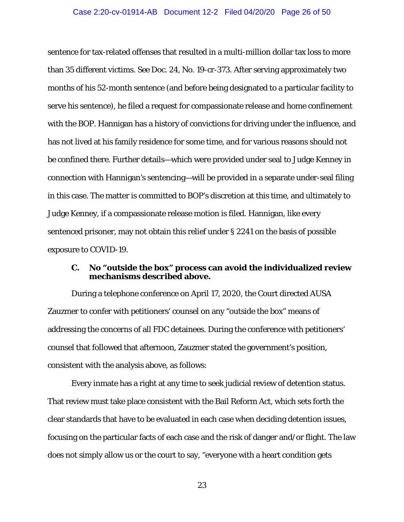#### Case 2:20-cv-01914-AB Document 12-2 Filed 04/20/20 Page 26 of 50

sentence for tax-related offenses that resulted in a multi-million dollar tax loss to more than 35 different victims. *See* Doc. 24, No. 19-cr-373. After serving approximately two months of his 52-month sentence (and before being designated to a particular facility to serve his sentence), he filed a request for compassionate release and home confinement with the BOP. Hannigan has a history of convictions for driving under the influence, and has not lived at his family residence for some time, and for various reasons should not be confined there. Further details—which were provided under seal to Judge Kenney in connection with Hannigan's sentencing—will be provided in a separate under-seal filing in this case. The matter is committed to BOP's discretion at this time, and ultimately to Judge Kenney, if a compassionate release motion is filed. Hannigan, like every sentenced prisoner, may not obtain this relief under § 2241 on the basis of possible exposure to COVID-19.

# **C. No "outside the box" process can avoid the individualized review mechanisms described above.**

During a telephone conference on April 17, 2020, the Court directed AUSA Zauzmer to confer with petitioners' counsel on any "outside the box" means of addressing the concerns of all FDC detainees. During the conference with petitioners' counsel that followed that afternoon, Zauzmer stated the government's position, consistent with the analysis above, as follows:

Every inmate has a right at any time to seek judicial review of detention status. That review must take place consistent with the Bail Reform Act, which sets forth the clear standards that have to be evaluated in each case when deciding detention issues, focusing on the particular facts of each case and the risk of danger and/or flight. The law does not simply allow us or the court to say, "everyone with a heart condition gets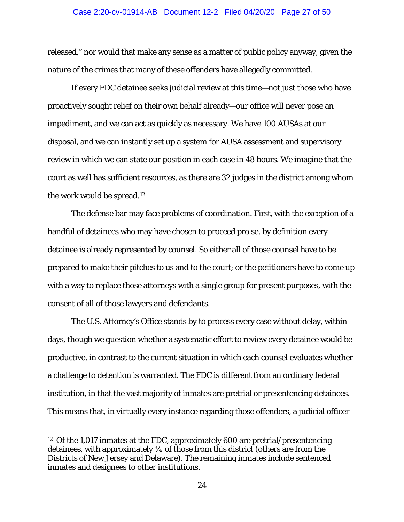#### Case 2:20-cv-01914-AB Document 12-2 Filed 04/20/20 Page 27 of 50

released," nor would that make any sense as a matter of public policy anyway, given the nature of the crimes that many of these offenders have allegedly committed.

If every FDC detainee seeks judicial review at this time—not just those who have proactively sought relief on their own behalf already—our office will never pose an impediment, and we can act as quickly as necessary. We have 100 AUSAs at our disposal, and we can instantly set up a system for AUSA assessment and supervisory review in which we can state our position in each case in 48 hours. We imagine that the court as well has sufficient resources, as there are 32 judges in the district among whom the work would be spread.[12](#page-26-0)

The defense bar may face problems of coordination. First, with the exception of a handful of detainees who may have chosen to proceed pro se, by definition every detainee is already represented by counsel. So either all of those counsel have to be prepared to make their pitches to us and to the court; or the petitioners have to come up with a way to replace those attorneys with a single group for present purposes, with the consent of all of those lawyers and defendants.

The U.S. Attorney's Office stands by to process every case without delay, within days, though we question whether a systematic effort to review every detainee would be productive, in contrast to the current situation in which each counsel evaluates whether a challenge to detention is warranted. The FDC is different from an ordinary federal institution, in that the vast majority of inmates are pretrial or presentencing detainees. This means that, in virtually every instance regarding those offenders, a judicial officer

<span id="page-26-0"></span> <sup>12</sup> Of the 1,017 inmates at the FDC, approximately 600 are pretrial/presentencing detainees, with approximately ¾ of those from this district (others are from the Districts of New Jersey and Delaware). The remaining inmates include sentenced inmates and designees to other institutions.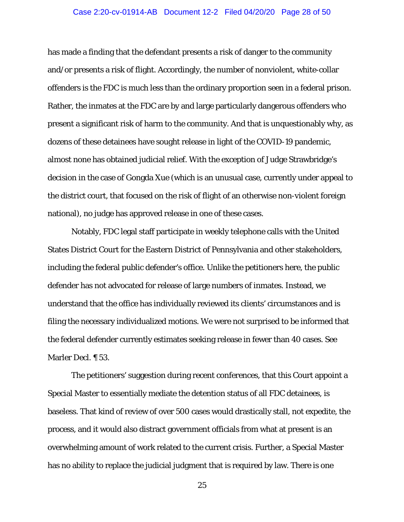#### Case 2:20-cv-01914-AB Document 12-2 Filed 04/20/20 Page 28 of 50

has made a finding that the defendant presents a risk of danger to the community and/or presents a risk of flight. Accordingly, the number of nonviolent, white-collar offenders is the FDC is much less than the ordinary proportion seen in a federal prison. Rather, the inmates at the FDC are by and large particularly dangerous offenders who present a significant risk of harm to the community. And that is unquestionably why, as dozens of these detainees have sought release in light of the COVID-19 pandemic, almost none has obtained judicial relief. With the exception of Judge Strawbridge's decision in the case of Gongda Xue (which is an unusual case, currently under appeal to the district court, that focused on the risk of flight of an otherwise non-violent foreign national), no judge has approved release in one of these cases.

Notably, FDC legal staff participate in weekly telephone calls with the United States District Court for the Eastern District of Pennsylvania and other stakeholders, including the federal public defender's office. Unlike the petitioners here, the public defender has not advocated for release of large numbers of inmates. Instead, we understand that the office has individually reviewed its clients' circumstances and is filing the necessary individualized motions. We were not surprised to be informed that the federal defender currently estimates seeking release in fewer than 40 cases. *See*  Marler Decl. ¶ 53.

The petitioners' suggestion during recent conferences, that this Court appoint a Special Master to essentially mediate the detention status of all FDC detainees, is baseless. That kind of review of over 500 cases would drastically stall, not expedite, the process, and it would also distract government officials from what at present is an overwhelming amount of work related to the current crisis. Further, a Special Master has no ability to replace the judicial judgment that is required by law. There is one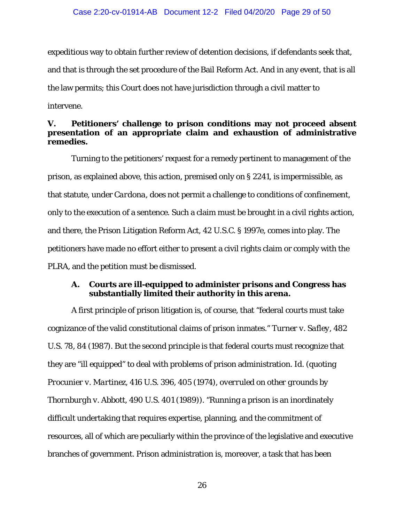expeditious way to obtain further review of detention decisions, if defendants seek that, and that is through the set procedure of the Bail Reform Act. And in any event, that is all the law permits; this Court does not have jurisdiction through a civil matter to intervene.

### **V. Petitioners' challenge to prison conditions may not proceed absent presentation of an appropriate claim and exhaustion of administrative remedies.**

Turning to the petitioners' request for a remedy pertinent to management of the prison, as explained above, this action, premised only on § 2241, is impermissible, as that statute, under *Cardona*, does not permit a challenge to conditions of confinement, only to the execution of a sentence. Such a claim must be brought in a civil rights action, and there, the Prison Litigation Reform Act, 42 U.S.C. § 1997e, comes into play. The petitioners have made no effort either to present a civil rights claim or comply with the PLRA, and the petition must be dismissed.

### **A. Courts are ill-equipped to administer prisons and Congress has substantially limited their authority in this arena.**

A first principle of prison litigation is, of course, that "federal courts must take cognizance of the valid constitutional claims of prison inmates." *Turner v. Safley*, 482 U.S. 78, 84 (1987). But the second principle is that federal courts must recognize that they are "ill equipped" to deal with problems of prison administration. *Id.* (quoting *Procunier v. Martinez,* 416 U.S. 396, 405 (1974), *overruled on other grounds by Thornburgh v. Abbott*, 490 U.S. 401 (1989)). "Running a prison is an inordinately difficult undertaking that requires expertise, planning, and the commitment of resources, all of which are peculiarly within the province of the legislative and executive branches of government. Prison administration is, moreover, a task that has been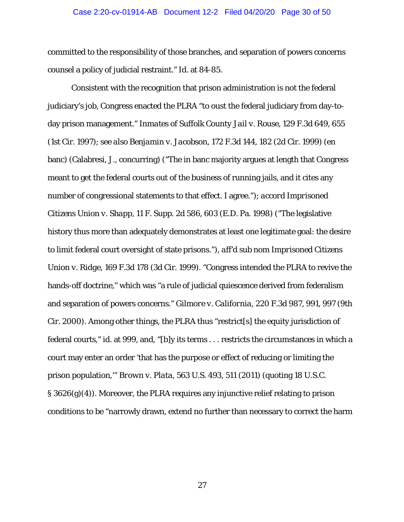#### Case 2:20-cv-01914-AB Document 12-2 Filed 04/20/20 Page 30 of 50

committed to the responsibility of those branches, and separation of powers concerns counsel a policy of judicial restraint." *Id.* at 84-85.

Consistent with the recognition that prison administration is not the federal judiciary's job, Congress enacted the PLRA "to oust the federal judiciary from day-today prison management." *Inmates of Suffolk County Jail v. Rouse*, 129 F.3d 649, 655 (1st Cir. 1997); *see also Benjamin v. Jacobson*, 172 F.3d 144, 182 (2d Cir. 1999) (en banc) (Calabresi, J., concurring) ("The in banc majority argues at length that Congress meant to get the federal courts out of the business of running jails, and it cites any number of congressional statements to that effect. I agree."); *accord Imprisoned Citizens Union v. Shapp*, 11 F. Supp. 2d 586, 603 (E.D. Pa. 1998) ("The legislative history thus more than adequately demonstrates at least one legitimate goal: the desire to limit federal court oversight of state prisons."), *aff'd sub nom Imprisoned Citizens Union v. Ridge*, 169 F.3d 178 (3d Cir. 1999). "Congress intended the PLRA to revive the hands-off doctrine," which was "a rule of judicial quiescence derived from federalism and separation of powers concerns." *Gilmore v. California*, 220 F.3d 987, 991, 997 (9th Cir. 2000). Among other things, the PLRA thus "restrict[s] the equity jurisdiction of federal courts," *id.* at 999, and, "[b]y its terms . . . restricts the circumstances in which a court may enter an order 'that has the purpose or effect of reducing or limiting the prison population,'" *Brown v. Plata*, 563 U.S. 493, 511 (2011) (quoting 18 U.S.C. § 3626(g)(4)). Moreover, the PLRA requires any injunctive relief relating to prison conditions to be "narrowly drawn, extend no further than necessary to correct the harm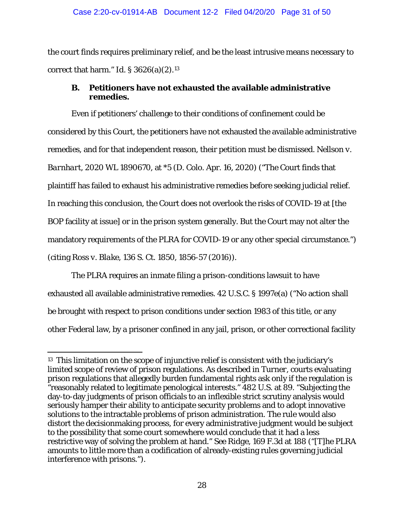the court finds requires preliminary relief, and be the least intrusive means necessary to correct that harm." *Id.* § 3626(a)(2).[13](#page-30-0)

# **B. Petitioners have not exhausted the available administrative remedies.**

Even if petitioners' challenge to their conditions of confinement could be considered by this Court, the petitioners have not exhausted the available administrative remedies, and for that independent reason, their petition must be dismissed. *Nellson v. Barnhart*, 2020 WL 1890670, at \*5 (D. Colo. Apr. 16, 2020) ("The Court finds that plaintiff has failed to exhaust his administrative remedies before seeking judicial relief. In reaching this conclusion, the Court does not overlook the risks of COVID-19 at [the BOP facility at issue] or in the prison system generally. But the Court may not alter the mandatory requirements of the PLRA for COVID-19 or any other special circumstance.") (citing *Ross v. Blake*, 136 S. Ct. 1850, 1856-57 (2016)).

The PLRA requires an inmate filing a prison-conditions lawsuit to have exhausted all available administrative remedies. 42 U.S.C. § 1997e(a) ("No action shall be brought with respect to prison conditions under section 1983 of this title, or any other Federal law, by a prisoner confined in any jail, prison, or other correctional facility

<span id="page-30-0"></span> <sup>13</sup> This limitation on the scope of injunctive relief is consistent with the judiciary's limited scope of review of prison regulations. As described in *Turner*, courts evaluating prison regulations that allegedly burden fundamental rights ask only if the regulation is "reasonably related to legitimate penological interests." 482 U.S*.* at 89. "Subjecting the day-to-day judgments of prison officials to an inflexible strict scrutiny analysis would seriously hamper their ability to anticipate security problems and to adopt innovative solutions to the intractable problems of prison administration. The rule would also distort the decisionmaking process, for every administrative judgment would be subject to the possibility that some court somewhere would conclude that it had a less restrictive way of solving the problem at hand." *See Ridge*, 169 F.3d at 188 ("[T]he PLRA amounts to little more than a codification of already-existing rules governing judicial interference with prisons.").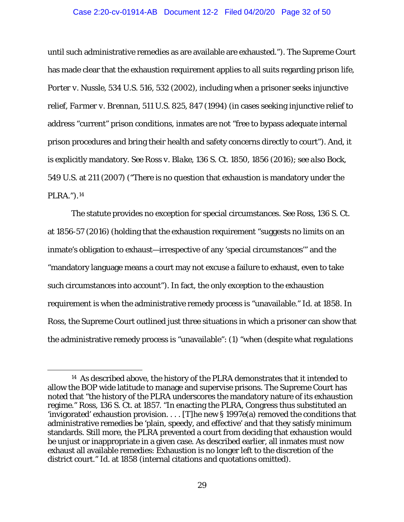#### Case 2:20-cv-01914-AB Document 12-2 Filed 04/20/20 Page 32 of 50

until such administrative remedies as are available are exhausted."). The Supreme Court has made clear that the exhaustion requirement applies to all suits regarding prison life, *Porter v. Nussle*, 534 U.S. 516, 532 (2002), including when a prisoner seeks injunctive relief, *Farmer v. Brennan*, 511 U.S. 825, 847 (1994) (in cases seeking injunctive relief to address "current" prison conditions, inmates are not "free to bypass adequate internal prison procedures and bring their health and safety concerns directly to court"). And, it is explicitly mandatory. *See Ross v. Blake*, 136 S. Ct. 1850, 1856 (2016); *see also Bock*, 549 U.S. at 211 (2007) ("There is no question that exhaustion is mandatory under the PLRA.").[14](#page-31-0)

The statute provides no exception for special circumstances. *See Ross*, 136 S. Ct. at 1856-57 (2016) (holding that the exhaustion requirement "suggests no limits on an inmate's obligation to exhaust—irrespective of any 'special circumstances'" and the "mandatory language means a court may not excuse a failure to exhaust, even to take such circumstances into account"). In fact, the only exception to the exhaustion requirement is when the administrative remedy process is "unavailable." *Id.* at 1858. In *Ross*, the Supreme Court outlined just three situations in which a prisoner can show that the administrative remedy process is "unavailable": (1) "when (despite what regulations

<span id="page-31-0"></span> <sup>14</sup> As described above, the history of the PLRA demonstrates that it intended to allow the BOP wide latitude to manage and supervise prisons. The Supreme Court has noted that "the history of the PLRA underscores the mandatory nature of its exhaustion regime." *Ross*, 136 S. Ct. at 1857. "In enacting the PLRA, Congress thus substituted an 'invigorated' exhaustion provision. . . . [T]he new § 1997e(a) removed the conditions that administrative remedies be 'plain, speedy, and effective' and that they satisfy minimum standards. Still more, the PLRA prevented a court from deciding that exhaustion would be unjust or inappropriate in a given case. As described earlier, all inmates must now exhaust all available remedies: Exhaustion is no longer left to the discretion of the district court." *Id.* at 1858 (internal citations and quotations omitted).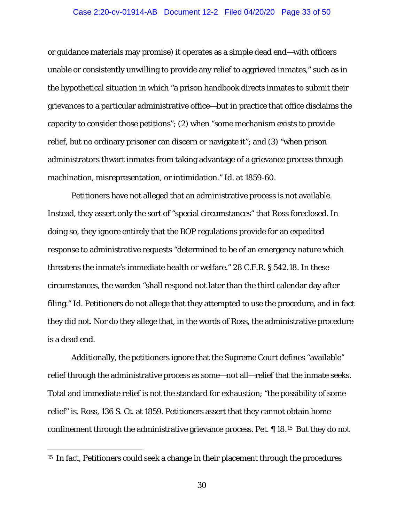#### Case 2:20-cv-01914-AB Document 12-2 Filed 04/20/20 Page 33 of 50

or guidance materials may promise) it operates as a simple dead end—with officers unable or consistently unwilling to provide any relief to aggrieved inmates," such as in the hypothetical situation in which "a prison handbook directs inmates to submit their grievances to a particular administrative office—but in practice that office disclaims the capacity to consider those petitions"; (2) when "some mechanism exists to provide relief, but no ordinary prisoner can discern or navigate it"; and (3) "when prison administrators thwart inmates from taking advantage of a grievance process through machination, misrepresentation, or intimidation." *Id.* at 1859-60.

Petitioners have not alleged that an administrative process is not available. Instead, they assert only the sort of "special circumstances" that *Ross* foreclosed. In doing so, they ignore entirely that the BOP regulations provide for an expedited response to administrative requests "determined to be of an emergency nature which threatens the inmate's immediate health or welfare." 28 C.F.R. § 542.18. In these circumstances, the warden "shall respond not later than the third calendar day after filing." *Id.* Petitioners do not allege that they attempted to use the procedure, and in fact they did not. Nor do they allege that, in the words of *Ross*, the administrative procedure is a dead end.

Additionally, the petitioners ignore that the Supreme Court defines "available" relief through the administrative process as *some*—not all—relief that the inmate seeks. Total and immediate relief is not the standard for exhaustion; "the possibility of some relief" is. *Ross*, 136 S. Ct. at 1859. Petitioners assert that they cannot obtain home confinement through the administrative grievance process. Pet. ¶ 18.[15](#page-32-0) But they do not

<span id="page-32-0"></span><sup>&</sup>lt;sup>15</sup> In fact, Petitioners could seek a change in their placement through the procedures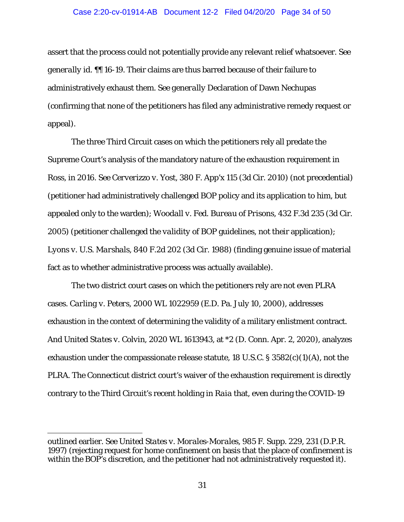#### Case 2:20-cv-01914-AB Document 12-2 Filed 04/20/20 Page 34 of 50

assert that the process could not potentially provide any relevant relief whatsoever. *See generally id.* ¶¶ 16-19. Their claims are thus barred because of their failure to administratively exhaust them. *See generally* Declaration of Dawn Nechupas (confirming that none of the petitioners has filed any administrative remedy request or appeal).

The three Third Circuit cases on which the petitioners rely all predate the Supreme Court's analysis of the mandatory nature of the exhaustion requirement in *Ross*, in 2016*. See Cerverizzo v. Yost*, 380 F. App'x 115 (3d Cir. 2010) (not precedential) (petitioner had administratively challenged BOP policy and its application to him, but appealed only to the warden); *Woodall v. Fed. Bureau of Prisons*, 432 F.3d 235 (3d Cir. 2005) (petitioner challenged the *validity* of BOP guidelines, not their application); *Lyons v. U.S. Marshals*, 840 F.2d 202 (3d Cir. 1988) (finding genuine issue of material fact as to whether administrative process was actually available).

The two district court cases on which the petitioners rely are not even PLRA cases. *Carling v. Peters*, 2000 WL 1022959 (E.D. Pa. July 10, 2000), addresses exhaustion in the context of determining the validity of a military enlistment contract. And *United States v. Colvin*, 2020 WL 1613943, at \*2 (D. Conn. Apr. 2, 2020), analyzes exhaustion under the compassionate release statute, 18 U.S.C.  $\S 3582(c)(1)(A)$ , not the PLRA. The Connecticut district court's waiver of the exhaustion requirement is directly contrary to the Third Circuit's recent holding in *Raia* that, even during the COVID-19

I

outlined earlier. *See United States v. Morales-Morales*, 985 F. Supp. 229, 231 (D.P.R. 1997) (rejecting request for home confinement on basis that the place of confinement is within the BOP's discretion, and the petitioner had not administratively requested it).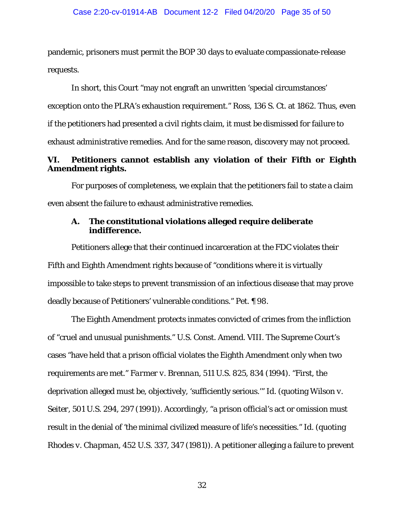pandemic, prisoners must permit the BOP 30 days to evaluate compassionate-release requests.

In short, this Court "may not engraft an unwritten 'special circumstances' exception onto the PLRA's exhaustion requirement." *Ross*, 136 S. Ct. at 1862. Thus, even if the petitioners had presented a civil rights claim, it must be dismissed for failure to exhaust administrative remedies. And for the same reason, discovery may not proceed.

## **VI. Petitioners cannot establish any violation of their Fifth or Eighth Amendment rights.**

For purposes of completeness, we explain that the petitioners fail to state a claim even absent the failure to exhaust administrative remedies.

### **A. The constitutional violations alleged require deliberate indifference.**

Petitioners allege that their continued incarceration at the FDC violates their Fifth and Eighth Amendment rights because of "conditions where it is virtually impossible to take steps to prevent transmission of an infectious disease that may prove deadly because of Petitioners' vulnerable conditions." Pet. ¶ 98.

The Eighth Amendment protects inmates convicted of crimes from the infliction of "cruel and unusual punishments." U.S. Const. Amend. VIII. The Supreme Court's cases "have held that a prison official violates the Eighth Amendment only when two requirements are met." *Farmer v. Brennan*, 511 U.S. 825, 834 (1994). "First, the deprivation alleged must be, objectively, 'sufficiently serious.'" *Id.* (quoting *Wilson v. Seiter*, 501 U.S. 294, 297 (1991)). Accordingly, "a prison official's act or omission must result in the denial of 'the minimal civilized measure of life's necessities." *Id.* (quoting *Rhodes v. Chapman*, 452 U.S. 337, 347 (1981)). A petitioner alleging a failure to prevent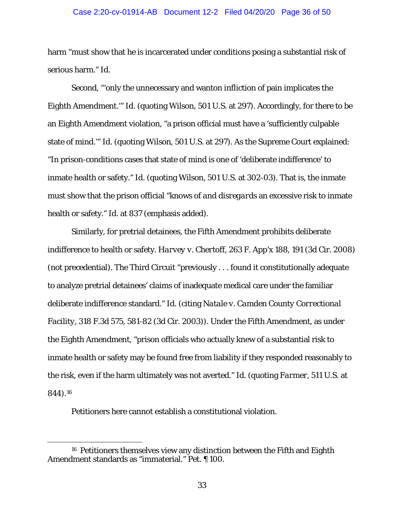#### Case 2:20-cv-01914-AB Document 12-2 Filed 04/20/20 Page 36 of 50

harm "must show that he is incarcerated under conditions posing a substantial risk of serious harm." *Id.* 

Second, "'only the unnecessary and wanton infliction of pain implicates the Eighth Amendment.'" *Id.* (quoting *Wilson*, 501 U.S. at 297). Accordingly, for there to be an Eighth Amendment violation, "a prison official must have a 'sufficiently culpable state of mind.'" *Id.* (quoting *Wilson*, 501 U.S. at 297). As the Supreme Court explained: "In prison-conditions cases that state of mind is one of 'deliberate indifference' to inmate health or safety." *Id.* (quoting *Wilson*, 501 U.S. at 302-03). That is, the inmate must show that the prison official "knows of *and disregards* an excessive risk to inmate health or safety." *Id.* at 837 (emphasis added).

Similarly, for pretrial detainees, the Fifth Amendment prohibits deliberate indifference to health or safety. *Harvey v. Chertoff*, 263 F. App'x 188, 191 (3d Cir. 2008) (not precedential). The Third Circuit "previously . . . found it constitutionally adequate to analyze pretrial detainees' claims of inadequate medical care under the familiar deliberate indifference standard." *Id.* (citing *Natale v. Camden County Correctional Facility*, 318 F.3d 575, 581-82 (3d Cir. 2003)). Under the Fifth Amendment, as under the Eighth Amendment, "prison officials who actually knew of a substantial risk to inmate health or safety may be found free from liability if they responded reasonably to the risk, even if the harm ultimately was not averted." *Id.* (quoting *Farmer*, 511 U.S. at 844).[16](#page-35-0)

Petitioners here cannot establish a constitutional violation.

<span id="page-35-0"></span> <sup>16</sup> Petitioners themselves view any distinction between the Fifth and Eighth Amendment standards as "immaterial." Pet. ¶ 100.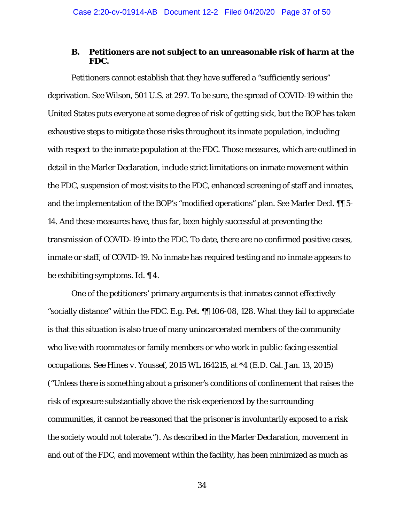### **B. Petitioners are not subject to an unreasonable risk of harm at the FDC.**

Petitioners cannot establish that they have suffered a "sufficiently serious" deprivation. *See Wilson*, 501 U.S. at 297. To be sure, the spread of COVID-19 within the United States puts everyone at some degree of risk of getting sick, but the BOP has taken exhaustive steps to mitigate those risks throughout its inmate population, including with respect to the inmate population at the FDC. Those measures, which are outlined in detail in the Marler Declaration, include strict limitations on inmate movement within the FDC, suspension of most visits to the FDC, enhanced screening of staff and inmates, and the implementation of the BOP's "modified operations" plan. *See* Marler Decl. ¶¶ 5- 14. And these measures have, thus far, been highly successful at preventing the transmission of COVID-19 into the FDC. To date, there are no confirmed positive cases, inmate or staff, of COVID-19. No inmate has required testing and no inmate appears to be exhibiting symptoms. *Id.* ¶ 4.

One of the petitioners' primary arguments is that inmates cannot effectively "socially distance" within the FDC. *E.g.* Pet. ¶¶ 106-08, 128. What they fail to appreciate is that this situation is also true of many unincarcerated members of the community who live with roommates or family members or who work in public-facing essential occupations. *See Hines v. Youssef*, 2015 WL 164215, at \*4 (E.D. Cal. Jan. 13, 2015) ("Unless there is something about a prisoner's conditions of confinement that raises the risk of exposure substantially above the risk experienced by the surrounding communities, it cannot be reasoned that the prisoner is involuntarily exposed to a risk the society would not tolerate."). As described in the Marler Declaration, movement in and out of the FDC, and movement within the facility, has been minimized as much as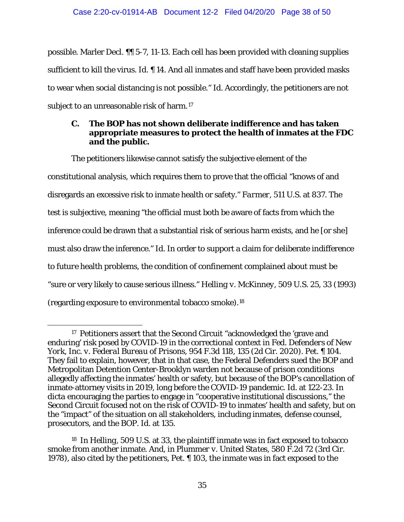possible. Marler Decl. ¶¶ 5-7, 11-13. Each cell has been provided with cleaning supplies sufficient to kill the virus. *Id.* ¶ 14. And all inmates and staff have been provided masks to wear when social distancing is not possible." *Id.* Accordingly, the petitioners are not subject to an unreasonable risk of harm.<sup>[17](#page-37-0)</sup>

## **C. The BOP has not shown deliberate indifference and has taken appropriate measures to protect the health of inmates at the FDC and the public.**

The petitioners likewise cannot satisfy the subjective element of the constitutional analysis, which requires them to prove that the official "knows of and disregards an excessive risk to inmate health or safety." *Farmer*, 511 U.S. at 837. The test is subjective, meaning "the official must both be aware of facts from which the inference could be drawn that a substantial risk of serious harm exists, and he [or she] must also draw the inference." *Id.* In order to support a claim for deliberate indifference to *future* health problems, the condition of confinement complained about must be "sure or very likely to cause serious illness." *Helling v. McKinney*, 509 U.S. 25, 33 (1993) (regarding exposure to environmental tobacco smoke).[18](#page-37-1)

<span id="page-37-0"></span> <sup>17</sup> Petitioners assert that the Second Circuit "acknowledged the 'grave and enduring' risk posed by COVID-19 in the correctional context in *Fed. Defenders of New York, Inc. v. Federal Bureau of Prisons*, 954 F.3d 118, 135 (2d Cir. 2020). Pet. ¶ 104. They fail to explain, however, that in that case, the Federal Defenders sued the BOP and Metropolitan Detention Center-Brooklyn warden *not* because of prison conditions allegedly affecting the inmates' health or safety, but because of the BOP's cancellation of inmate-attorney visits in 2019, long before the COVID-19 pandemic. *Id.* at 122-23. In *dicta* encouraging the parties to engage in "cooperative institutional discussions," the Second Circuit focused not on the risk of COVID-19 to inmates' health and safety, but on the "impact" of the situation on all stakeholders, including inmates, defense counsel, prosecutors, and the BOP. *Id.* at 135.

<span id="page-37-1"></span><sup>18</sup> In *Helling*, 509 U.S. at 33, the plaintiff inmate was in fact exposed to tobacco smoke from another inmate. And, in *Plummer v. United States*, 580 F.2d 72 (3rd Cir. 1978), also cited by the petitioners, Pet. ¶ 103, the inmate was in fact exposed to the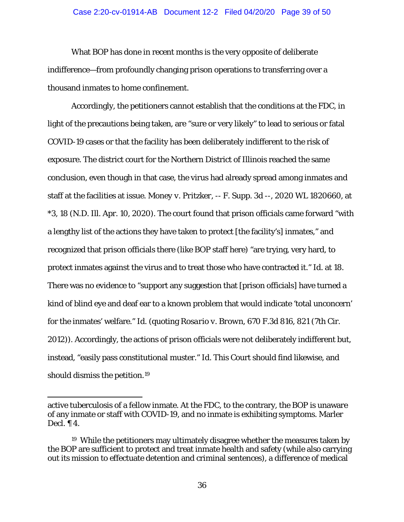#### Case 2:20-cv-01914-AB Document 12-2 Filed 04/20/20 Page 39 of 50

What BOP has done in recent months is the very opposite of deliberate indifference—from profoundly changing prison operations to transferring over a thousand inmates to home confinement.

Accordingly, the petitioners cannot establish that the conditions at the FDC, in light of the precautions being taken, are "sure or very likely" to lead to serious or fatal COVID-19 cases or that the facility has been deliberately indifferent to the risk of exposure. The district court for the Northern District of Illinois reached the same conclusion, even though in that case, the virus had already spread among inmates and staff at the facilities at issue. *Money v. Pritzker*, -- F. Supp. 3d --, 2020 WL 1820660, at \*3, 18 (N.D. Ill. Apr. 10, 2020). The court found that prison officials came forward "with a lengthy list of the actions they have taken to protect [the facility's] inmates," and recognized that prison officials there (like BOP staff here) "are trying, very hard, to protect inmates against the virus and to treat those who have contracted it." *Id.* at 18. There was no evidence to "support any suggestion that [prison officials] have turned a kind of blind eye and deaf ear to a known problem that would indicate 'total unconcern' for the inmates' welfare." *Id.* (quoting *Rosario v. Brown*, 670 F.3d 816, 821 (7th Cir. 2012)). Accordingly, the actions of prison officials were not deliberately indifferent but, instead, "easily pass constitutional muster." *Id.* This Court should find likewise, and should dismiss the petition.[19](#page-38-0)

 $\ddot{\phantom{a}}$ 

active tuberculosis of a fellow inmate. At the FDC, to the contrary, the BOP is unaware of any inmate or staff with COVID-19, and no inmate is exhibiting symptoms. Marler Decl. ¶ 4.

<span id="page-38-0"></span><sup>19</sup> While the petitioners may ultimately disagree whether the measures taken by the BOP are sufficient to protect and treat inmate health and safety (while also carrying out its mission to effectuate detention and criminal sentences), a difference of medical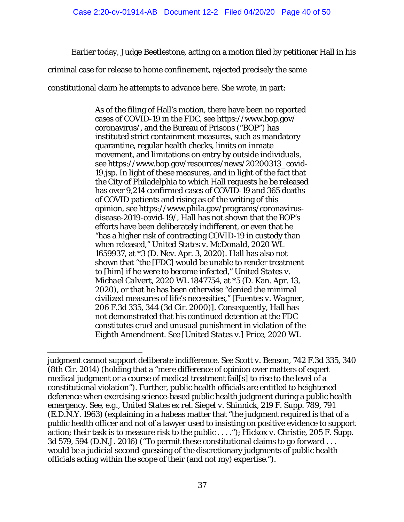Earlier today, Judge Beetlestone, acting on a motion filed by petitioner Hall in his

criminal case for release to home confinement, rejected precisely the same

constitutional claim he attempts to advance here. She wrote, in part:

As of the filing of Hall's motion, there have been no reported cases of COVID-19 in the FDC, see https://www.bop.gov/ coronavirus/, and the Bureau of Prisons ("BOP") has instituted strict containment measures, such as mandatory quarantine, regular health checks, limits on inmate movement, and limitations on entry by outside individuals, see https://www.bop.gov/resources/news/20200313\_covid-19.jsp. In light of these measures, and in light of the fact that the City of Philadelphia to which Hall requests he be released has over 9,214 confirmed cases of COVID-19 and 365 deaths of COVID patients and rising as of the writing of this opinion, *see* https://www.phila.gov/programs/coronavirusdisease-2019-covid-19/, Hall has not shown that the BOP's efforts have been deliberately indifferent, or even that he "has a higher risk of contracting COVID-19 in custody than when released," *United States v. McDonald*, 2020 WL 1659937, at \*3 (D. Nev. Apr. 3, 2020). Hall has also not shown that "the [FDC] would be unable to render treatment to [him] if he were to become infected," *United States v. Michael Calvert*, 2020 WL 1847754, at \*5 (D. Kan. Apr. 13, 2020), or that he has been otherwise "denied the minimal civilized measures of life's necessities," [*Fuentes v. Wagner*, 206 F.3d 335, 344 (3d Cir. 2000)]. Consequently, Hall has not demonstrated that his continued detention at the FDC constitutes cruel and unusual punishment in violation of the Eighth Amendment. *See* [*United States v.*] *Price*, 2020 WL

I judgment cannot support deliberate indifference. *See Scott v. Benson*, 742 F.3d 335, 340 (8th Cir. 2014) (holding that a "mere difference of opinion over matters of expert medical judgment or a course of medical treatment fail[s] to rise to the level of a constitutional violation"). Further, public health officials are entitled to heightened deference when exercising science-based public health judgment during a public health emergency. *See, e.g.*, *United States ex rel. Siegel v. Shinnick*, 219 F. Supp. 789, 791 (E.D.N.Y. 1963) (explaining in a habeas matter that "the judgment required is that of a public health officer and not of a lawyer used to insisting on positive evidence to support action; their task is to measure risk to the public . . . ."); *Hickox v. Christie*, 205 F. Supp. 3d 579, 594 (D.N.J. 2016) ("To permit these constitutional claims to go forward . . . would be a judicial second-guessing of the discretionary judgments of public health officials acting within the scope of their (and not my) expertise.").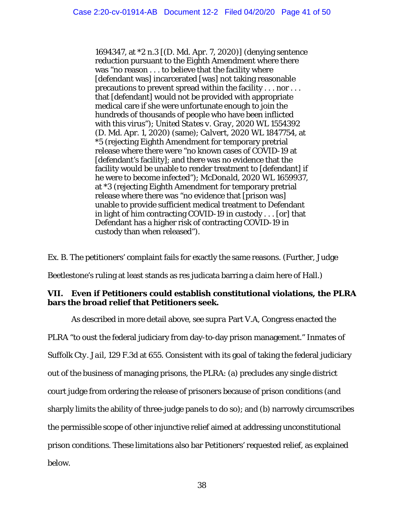1694347, at \*2 n.3 [(D. Md. Apr. 7, 2020)] (denying sentence reduction pursuant to the Eighth Amendment where there was "no reason . . . to believe that the facility where [defendant was] incarcerated [was] not taking reasonable precautions to prevent spread within the facility . . . nor . . . that [defendant] would not be provided with appropriate medical care if she were unfortunate enough to join the hundreds of thousands of people who have been inflicted with this virus"); *United States v. Gray*, 2020 WL 1554392 (D. Md. Apr. 1, 2020) (same); *Calvert*, 2020 WL 1847754, at \*5 (rejecting Eighth Amendment for temporary pretrial release where there were "no known cases of COVID-19 at [defendant's facility]; and there was no evidence that the facility would be unable to render treatment to [defendant] if he were to become infected"); *McDonald*, 2020 WL 1659937, at \*3 (rejecting Eighth Amendment for temporary pretrial release where there was "no evidence that [prison was] unable to provide sufficient medical treatment to Defendant in light of him contracting COVID-19 in custody . . . [or] that Defendant has a higher risk of contracting COVID-19 in custody than when released").

Ex. B. The petitioners' complaint fails for exactly the same reasons. (Further, Judge

Beetlestone's ruling at least stands as res judicata barring a claim here of Hall.)

## **VII. Even if Petitioners could establish constitutional violations, the PLRA bars the broad relief that Petitioners seek.**

As described in more detail above, *see supra* Part V.A, Congress enacted the PLRA "to oust the federal judiciary from day-to-day prison management." *Inmates of Suffolk Cty. Jail*, 129 F.3d at 655. Consistent with its goal of taking the federal judiciary out of the business of managing prisons, the PLRA: (a) precludes any single district court judge from ordering the release of prisoners because of prison conditions (and sharply limits the ability of three-judge panels to do so); and (b) narrowly circumscribes the permissible scope of other injunctive relief aimed at addressing unconstitutional prison conditions. These limitations also bar Petitioners' requested relief, as explained below.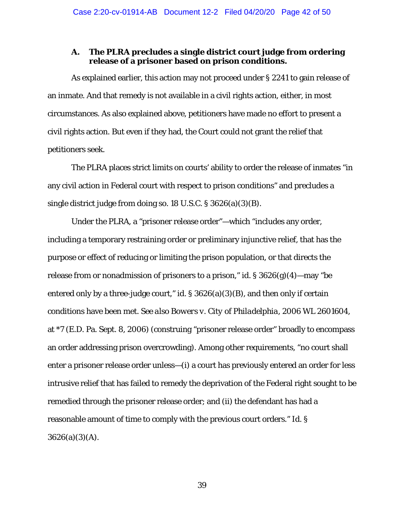# **A. The PLRA precludes a single district court judge from ordering release of a prisoner based on prison conditions.**

As explained earlier, this action may not proceed under § 2241 to gain release of an inmate. And that remedy is not available in a civil rights action, either, in most circumstances. As also explained above, petitioners have made no effort to present a civil rights action. But even if they had, the Court could not grant the relief that petitioners seek.

The PLRA places strict limits on courts' ability to order the release of inmates "in any civil action in Federal court with respect to prison conditions" and precludes a single district judge from doing so. 18 U.S.C. § 3626(a)(3)(B).

Under the PLRA, a "prisoner release order"—which "includes any order, including a temporary restraining order or preliminary injunctive relief, that has the purpose or effect of reducing or limiting the prison population, or that directs the release from or nonadmission of prisoners to a prison," *id.* § 3626(g)(4)—may "be entered only by a three-judge court," *id.* § 3626(a)(3)(B), and then only if certain conditions have been met. *See also Bowers v. City of Philadelphia*, 2006 WL 2601604, at \*7 (E.D. Pa. Sept. 8, 2006) (construing "prisoner release order" broadly to encompass an order addressing prison overcrowding). Among other requirements, "no court shall enter a prisoner release order unless—(i) a court has previously entered an order for less intrusive relief that has failed to remedy the deprivation of the Federal right sought to be remedied through the prisoner release order; and (ii) the defendant has had a reasonable amount of time to comply with the previous court orders." *Id.* §  $3626(a)(3)(A)$ .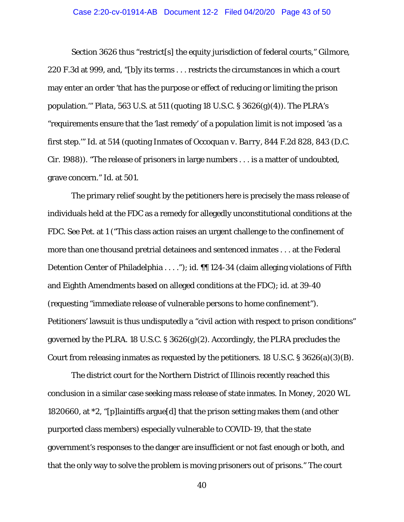#### Case 2:20-cv-01914-AB Document 12-2 Filed 04/20/20 Page 43 of 50

Section 3626 thus "restrict[s] the equity jurisdiction of federal courts," *Gilmore*, 220 F.3d at 999, and, "[b]y its terms . . . restricts the circumstances in which a court may enter an order 'that has the purpose or effect of reducing or limiting the prison population.'" *Plata*, 563 U.S. at 511 (quoting 18 U.S.C. § 3626(g)(4)). The PLRA's "requirements ensure that the 'last remedy' of a population limit is not imposed 'as a first step.'" *Id.* at 514 (quoting *Inmates of Occoquan v. Barry*, 844 F.2d 828, 843 (D.C. Cir. 1988)). "The release of prisoners in large numbers . . . is a matter of undoubted, grave concern." *Id.* at 501.

The primary relief sought by the petitioners here is precisely the mass release of individuals held at the FDC as a remedy for allegedly unconstitutional conditions at the FDC. *See* Pet. at 1 ("This class action raises an urgent challenge to the confinement of more than one thousand pretrial detainees and sentenced inmates . . . at the Federal Detention Center of Philadelphia . . . ."); *id.* ¶¶ 124-34 (claim alleging violations of Fifth and Eighth Amendments based on alleged conditions at the FDC); *id.* at 39-40 (requesting "immediate release of vulnerable persons to home confinement"). Petitioners' lawsuit is thus undisputedly a "civil action with respect to prison conditions" governed by the PLRA. 18 U.S.C. § 3626(g)(2). Accordingly, the PLRA precludes the Court from releasing inmates as requested by the petitioners. 18 U.S.C. § 3626(a)(3)(B).

The district court for the Northern District of Illinois recently reached this conclusion in a similar case seeking mass release of state inmates. In *Money*, 2020 WL 1820660, at \*2, "[p]laintiffs argue[d] that the prison setting makes them (and other purported class members) especially vulnerable to COVID-19, that the state government's responses to the danger are insufficient or not fast enough or both, and that the only way to solve the problem is moving prisoners out of prisons." The court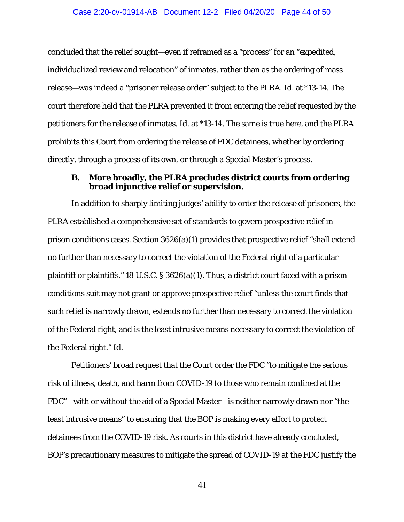concluded that the relief sought—even if reframed as a "process" for an "expedited, individualized review and relocation" of inmates, rather than as the ordering of mass release—was indeed a "prisoner release order" subject to the PLRA. *Id.* at \*13-14. The court therefore held that the PLRA prevented it from entering the relief requested by the petitioners for the release of inmates. *Id.* at \*13-14. The same is true here, and the PLRA prohibits this Court from ordering the release of FDC detainees, whether by ordering directly, through a process of its own, or through a Special Master's process.

### **B. More broadly, the PLRA precludes district courts from ordering broad injunctive relief or supervision.**

In addition to sharply limiting judges' ability to order the release of prisoners, the PLRA established a comprehensive set of standards to govern prospective relief in prison conditions cases. Section 3626(a)(1) provides that prospective relief "shall extend no further than necessary to correct the violation of the Federal right of a particular plaintiff or plaintiffs." 18 U.S.C. § 3626(a)(1). Thus, a district court faced with a prison conditions suit may not grant or approve prospective relief "unless the court finds that such relief is narrowly drawn, extends no further than necessary to correct the violation of the Federal right, and is the least intrusive means necessary to correct the violation of the Federal right." *Id.*

Petitioners' broad request that the Court order the FDC "to mitigate the serious risk of illness, death, and harm from COVID-19 to those who remain confined at the FDC"—with or without the aid of a Special Master—is neither narrowly drawn nor "the least intrusive means" to ensuring that the BOP is making every effort to protect detainees from the COVID-19 risk. As courts in this district have already concluded, BOP's precautionary measures to mitigate the spread of COVID-19 at the FDC justify the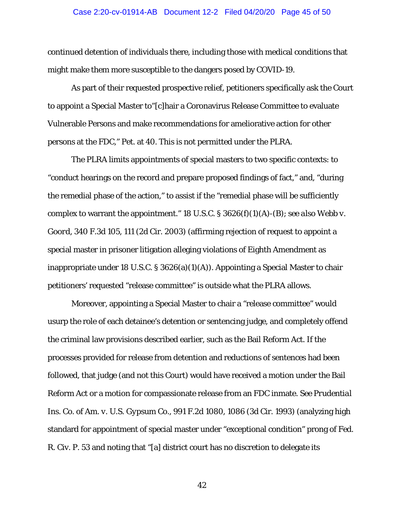#### Case 2:20-cv-01914-AB Document 12-2 Filed 04/20/20 Page 45 of 50

continued detention of individuals there, including those with medical conditions that might make them more susceptible to the dangers posed by COVID-19.

As part of their requested prospective relief, petitioners specifically ask the Court to appoint a Special Master to"[c]hair a Coronavirus Release Committee to evaluate Vulnerable Persons and make recommendations for ameliorative action for other persons at the FDC," Pet. at 40. This is not permitted under the PLRA.

The PLRA limits appointments of special masters to two specific contexts: to "conduct hearings on the record and prepare proposed findings of fact," and, "during the remedial phase of the action," to assist if the "remedial phase will be sufficiently complex to warrant the appointment." 18 U.S.C. § 3626(f)(1)(A)-(B); *see also Webb v. Goord*, 340 F.3d 105, 111 (2d Cir. 2003) (affirming rejection of request to appoint a special master in prisoner litigation alleging violations of Eighth Amendment as inappropriate under 18 U.S.C. § 3626(a)(1)(A)). Appointing a Special Master to chair petitioners' requested "release committee" is outside what the PLRA allows.

Moreover, appointing a Special Master to chair a "release committee" would usurp the role of each detainee's detention or sentencing judge, and completely offend the criminal law provisions described earlier, such as the Bail Reform Act. If the processes provided for release from detention and reductions of sentences had been followed, that judge (and not this Court) would have received a motion under the Bail Reform Act or a motion for compassionate release from an FDC inmate. *See Prudential Ins. Co. of Am. v. U.S. Gypsum Co.*, 991 F.2d 1080, 1086 (3d Cir. 1993) (analyzing high standard for appointment of special master under "exceptional condition" prong of Fed. R. Civ. P. 53 and noting that "[a] district court has no discretion to delegate its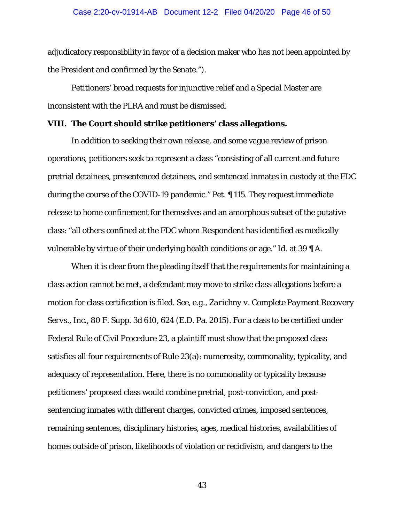#### Case 2:20-cv-01914-AB Document 12-2 Filed 04/20/20 Page 46 of 50

adjudicatory responsibility in favor of a decision maker who has not been appointed by the President and confirmed by the Senate.").

Petitioners' broad requests for injunctive relief and a Special Master are inconsistent with the PLRA and must be dismissed.

#### **VIII. The Court should strike petitioners' class allegations.**

In addition to seeking their own release, and some vague review of prison operations, petitioners seek to represent a class "consisting of all current and future pretrial detainees, presentenced detainees, and sentenced inmates in custody at the FDC during the course of the COVID-19 pandemic." Pet. ¶ 115. They request immediate release to home confinement for themselves and an amorphous subset of the putative class: "all others confined at the FDC whom Respondent has identified as medically vulnerable by virtue of their underlying health conditions or age." *Id.* at 39 ¶ A.

When it is clear from the pleading itself that the requirements for maintaining a class action cannot be met, a defendant may move to strike class allegations before a motion for class certification is filed. *See, e.g., Zarichny v. Complete Payment Recovery Servs., Inc.*, 80 F. Supp. 3d 610, 624 (E.D. Pa. 2015). For a class to be certified under Federal Rule of Civil Procedure 23, a plaintiff must show that the proposed class satisfies all four requirements of Rule 23(a): numerosity, commonality, typicality, and adequacy of representation. Here, there is no commonality or typicality because petitioners' proposed class would combine pretrial, post-conviction, and postsentencing inmates with different charges, convicted crimes, imposed sentences, remaining sentences, disciplinary histories, ages, medical histories, availabilities of homes outside of prison, likelihoods of violation or recidivism, and dangers to the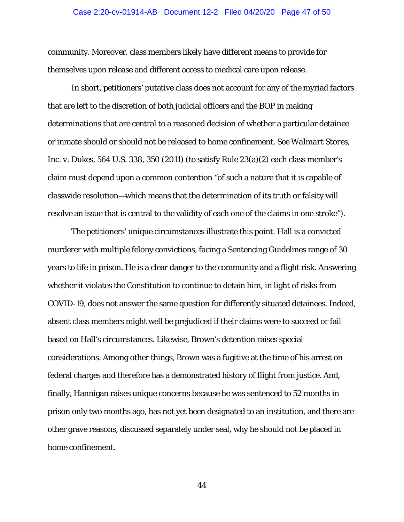#### Case 2:20-cv-01914-AB Document 12-2 Filed 04/20/20 Page 47 of 50

community. Moreover, class members likely have different means to provide for themselves upon release and different access to medical care upon release.

In short, petitioners' putative class does not account for any of the myriad factors that are left to the discretion of both judicial officers and the BOP in making determinations that are central to a reasoned decision of whether a particular detainee or inmate should or should not be released to home confinement. *See Walmart Stores, Inc. v. Dukes*, 564 U.S. 338, 350 (2011) (to satisfy Rule 23(a)(2) each class member's claim must depend upon a common contention "of such a nature that it is capable of classwide resolution—which means that the determination of its truth or falsity will resolve an issue that is central to the validity of each one of the claims in one stroke").

The petitioners' unique circumstances illustrate this point. Hall is a convicted murderer with multiple felony convictions, facing a Sentencing Guidelines range of 30 years to life in prison. He is a clear danger to the community and a flight risk. Answering whether it violates the Constitution to continue to detain him, in light of risks from COVID-19, does not answer the same question for differently situated detainees. Indeed, absent class members might well be prejudiced if their claims were to succeed or fail based on Hall's circumstances. Likewise, Brown's detention raises special considerations. Among other things, Brown was a fugitive at the time of his arrest on federal charges and therefore has a demonstrated history of flight from justice. And, finally, Hannigan raises unique concerns because he was sentenced to 52 months in prison only two months ago, has not yet been designated to an institution, and there are other grave reasons, discussed separately under seal, why he should not be placed in home confinement.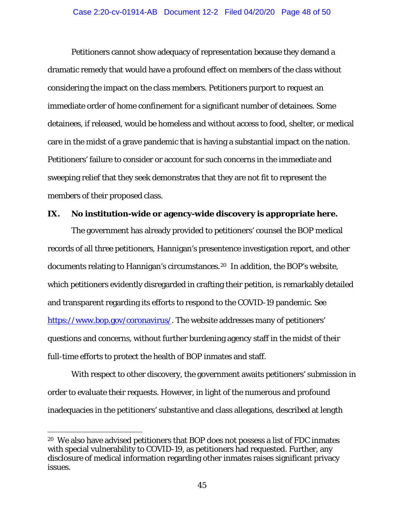Petitioners cannot show adequacy of representation because they demand a dramatic remedy that would have a profound effect on members of the class without considering the impact on the class members. Petitioners purport to request an immediate order of home confinement for a significant number of detainees. Some detainees, if released, would be homeless and without access to food, shelter, or medical care in the midst of a grave pandemic that is having a substantial impact on the nation. Petitioners' failure to consider or account for such concerns in the immediate and sweeping relief that they seek demonstrates that they are not fit to represent the members of their proposed class.

# **IX. No institution-wide or agency-wide discovery is appropriate here.**

The government has already provided to petitioners' counsel the BOP medical records of all three petitioners, Hannigan's presentence investigation report, and other documents relating to Hannigan's circumstances.[20](#page-47-0) In addition, the BOP's website, which petitioners evidently disregarded in crafting their petition, is remarkably detailed and transparent regarding its efforts to respond to the COVID-19 pandemic. *See*  [https://www.bop.gov/coronavirus/.](https://www.bop.gov/coronavirus/) The website addresses many of petitioners' questions and concerns, without further burdening agency staff in the midst of their full-time efforts to protect the health of BOP inmates and staff.

With respect to other discovery, the government awaits petitioners' submission in order to evaluate their requests. However, in light of the numerous and profound inadequacies in the petitioners' substantive and class allegations, described at length

<span id="page-47-0"></span> <sup>20</sup> We also have advised petitioners that BOP does not possess a list of FDC inmates with special vulnerability to COVID-19, as petitioners had requested. Further, any disclosure of medical information regarding other inmates raises significant privacy issues.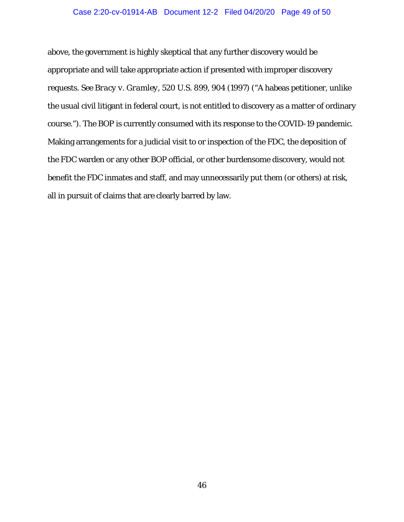#### Case 2:20-cv-01914-AB Document 12-2 Filed 04/20/20 Page 49 of 50

above, the government is highly skeptical that any further discovery would be appropriate and will take appropriate action if presented with improper discovery requests. *See Bracy v. Gramley*, 520 U.S. 899, 904 (1997) ("A habeas petitioner, unlike the usual civil litigant in federal court, is not entitled to discovery as a matter of ordinary course."). The BOP is currently consumed with its response to the COVID-19 pandemic. Making arrangements for a judicial visit to or inspection of the FDC, the deposition of the FDC warden or any other BOP official, or other burdensome discovery, would not benefit the FDC inmates and staff, and may unnecessarily put them (or others) at risk, all in pursuit of claims that are clearly barred by law.